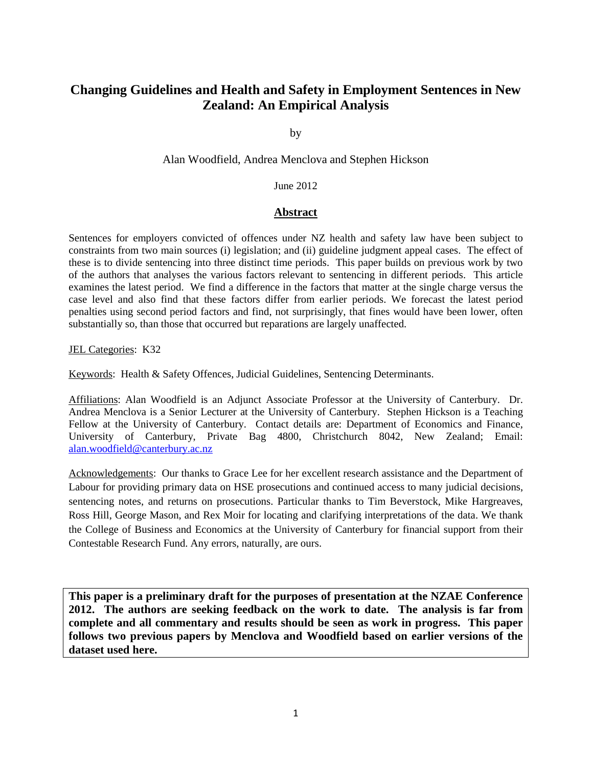# **Changing Guidelines and Health and Safety in Employment Sentences in New Zealand: An Empirical Analysis**

by

Alan Woodfield, Andrea Menclova and Stephen Hickson

#### June 2012

#### **Abstract**

Sentences for employers convicted of offences under NZ health and safety law have been subject to constraints from two main sources (i) legislation; and (ii) guideline judgment appeal cases. The effect of these is to divide sentencing into three distinct time periods. This paper builds on previous work by two of the authors that analyses the various factors relevant to sentencing in different periods. This article examines the latest period. We find a difference in the factors that matter at the single charge versus the case level and also find that these factors differ from earlier periods. We forecast the latest period penalties using second period factors and find, not surprisingly, that fines would have been lower, often substantially so, than those that occurred but reparations are largely unaffected.

JEL Categories: K32

Keywords: Health & Safety Offences, Judicial Guidelines, Sentencing Determinants.

Affiliations: Alan Woodfield is an Adjunct Associate Professor at the University of Canterbury. Dr. Andrea Menclova is a Senior Lecturer at the University of Canterbury. Stephen Hickson is a Teaching Fellow at the University of Canterbury. Contact details are: Department of Economics and Finance, University of Canterbury, Private Bag 4800, Christchurch 8042, New Zealand; Email: [alan.woodfield@canterbury.ac.nz](mailto:alan.woodfield@canterbury.ac.nz)

Acknowledgements: Our thanks to Grace Lee for her excellent research assistance and the Department of Labour for providing primary data on HSE prosecutions and continued access to many judicial decisions, sentencing notes, and returns on prosecutions. Particular thanks to Tim Beverstock, Mike Hargreaves, Ross Hill, George Mason, and Rex Moir for locating and clarifying interpretations of the data. We thank the College of Business and Economics at the University of Canterbury for financial support from their Contestable Research Fund. Any errors, naturally, are ours.

**This paper is a preliminary draft for the purposes of presentation at the NZAE Conference 2012. The authors are seeking feedback on the work to date. The analysis is far from complete and all commentary and results should be seen as work in progress. This paper follows two previous papers by Menclova and Woodfield based on earlier versions of the dataset used here.**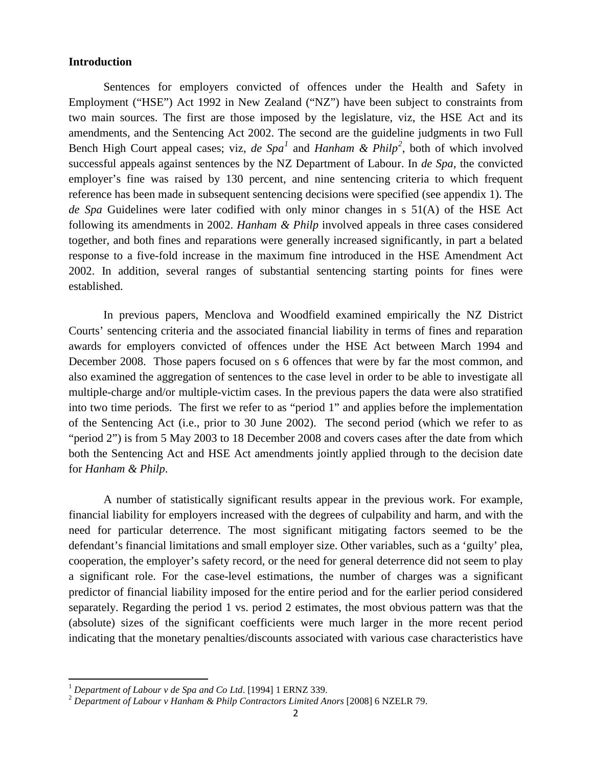#### **Introduction**

Sentences for employers convicted of offences under the Health and Safety in Employment ("HSE") Act 1992 in New Zealand ("NZ") have been subject to constraints from two main sources. The first are those imposed by the legislature, viz, the HSE Act and its amendments, and the Sentencing Act 2002. The second are the guideline judgments in two Full Bench High Court appeal cases; viz, *de Spa[1](#page-1-0)* and *Hanham & Philp[2](#page-1-1)* , both of which involved successful appeals against sentences by the NZ Department of Labour. In *de Spa*, the convicted employer's fine was raised by 130 percent, and nine sentencing criteria to which frequent reference has been made in subsequent sentencing decisions were specified (see appendix 1). The *de Spa* Guidelines were later codified with only minor changes in s 51(A) of the HSE Act following its amendments in 2002. *Hanham & Philp* involved appeals in three cases considered together, and both fines and reparations were generally increased significantly, in part a belated response to a five-fold increase in the maximum fine introduced in the HSE Amendment Act 2002. In addition, several ranges of substantial sentencing starting points for fines were established.

In previous papers, Menclova and Woodfield examined empirically the NZ District Courts' sentencing criteria and the associated financial liability in terms of fines and reparation awards for employers convicted of offences under the HSE Act between March 1994 and December 2008. Those papers focused on s 6 offences that were by far the most common, and also examined the aggregation of sentences to the case level in order to be able to investigate all multiple-charge and/or multiple-victim cases. In the previous papers the data were also stratified into two time periods. The first we refer to as "period 1" and applies before the implementation of the Sentencing Act (i.e., prior to 30 June 2002). The second period (which we refer to as "period 2") is from 5 May 2003 to 18 December 2008 and covers cases after the date from which both the Sentencing Act and HSE Act amendments jointly applied through to the decision date for *Hanham & Philp*.

A number of statistically significant results appear in the previous work. For example, financial liability for employers increased with the degrees of culpability and harm, and with the need for particular deterrence. The most significant mitigating factors seemed to be the defendant's financial limitations and small employer size. Other variables, such as a 'guilty' plea, cooperation, the employer's safety record, or the need for general deterrence did not seem to play a significant role. For the case-level estimations, the number of charges was a significant predictor of financial liability imposed for the entire period and for the earlier period considered separately. Regarding the period 1 vs. period 2 estimates, the most obvious pattern was that the (absolute) sizes of the significant coefficients were much larger in the more recent period indicating that the monetary penalties/discounts associated with various case characteristics have

ı

<span id="page-1-1"></span><span id="page-1-0"></span>

<sup>&</sup>lt;sup>1</sup> Department of Labour v de Spa and Co Ltd. [1994] 1 ERNZ 339.<br><sup>2</sup> Department of Labour v Hanham & Philp Contractors Limited Anors [2008] 6 NZELR 79.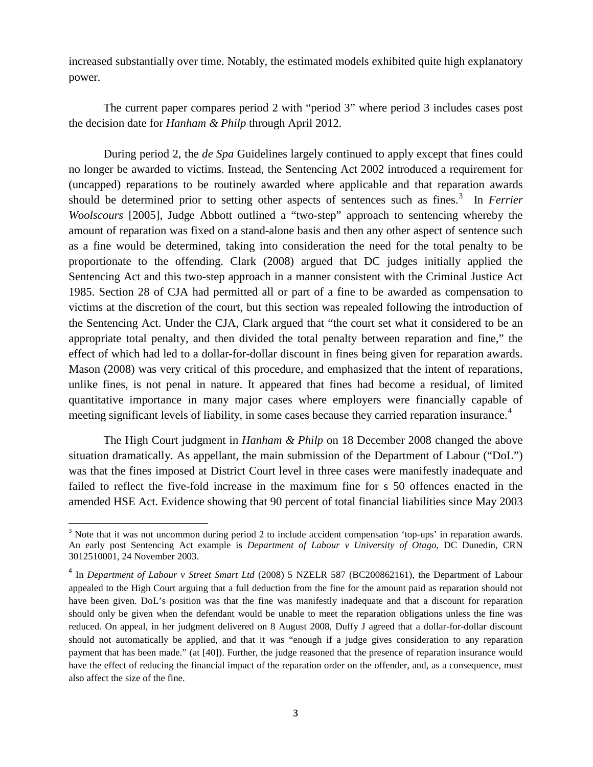increased substantially over time. Notably, the estimated models exhibited quite high explanatory power.

The current paper compares period 2 with "period 3" where period 3 includes cases post the decision date for *Hanham & Philp* through April 2012.

During period 2, the *de Spa* Guidelines largely continued to apply except that fines could no longer be awarded to victims. Instead, the Sentencing Act 2002 introduced a requirement for (uncapped) reparations to be routinely awarded where applicable and that reparation awards should be determined prior to setting other aspects of sentences such as fines. [3](#page-2-0) In *Ferrier Woolscours* [2005], Judge Abbott outlined a "two-step" approach to sentencing whereby the amount of reparation was fixed on a stand-alone basis and then any other aspect of sentence such as a fine would be determined, taking into consideration the need for the total penalty to be proportionate to the offending. Clark (2008) argued that DC judges initially applied the Sentencing Act and this two-step approach in a manner consistent with the Criminal Justice Act 1985. Section 28 of CJA had permitted all or part of a fine to be awarded as compensation to victims at the discretion of the court, but this section was repealed following the introduction of the Sentencing Act. Under the CJA, Clark argued that "the court set what it considered to be an appropriate total penalty, and then divided the total penalty between reparation and fine," the effect of which had led to a dollar-for-dollar discount in fines being given for reparation awards. Mason (2008) was very critical of this procedure, and emphasized that the intent of reparations, unlike fines, is not penal in nature. It appeared that fines had become a residual, of limited quantitative importance in many major cases where employers were financially capable of meeting significant levels of liability, in some cases because they carried reparation insurance.<sup>[4](#page-2-1)</sup>

The High Court judgment in *Hanham & Philp* on 18 December 2008 changed the above situation dramatically. As appellant, the main submission of the Department of Labour ("DoL") was that the fines imposed at District Court level in three cases were manifestly inadequate and failed to reflect the five-fold increase in the maximum fine for s 50 offences enacted in the amended HSE Act. Evidence showing that 90 percent of total financial liabilities since May 2003

 $\overline{\phantom{0}}$ 

<span id="page-2-0"></span><sup>&</sup>lt;sup>3</sup> Note that it was not uncommon during period 2 to include accident compensation 'top-ups' in reparation awards. An early post Sentencing Act example is *Department of Labour v University of Otago*, DC Dunedin, CRN 3012510001, 24 November 2003.

<span id="page-2-1"></span><sup>&</sup>lt;sup>4</sup> In *Department of Labour v Street Smart Ltd* (2008) 5 NZELR 587 (BC200862161), the Department of Labour appealed to the High Court arguing that a full deduction from the fine for the amount paid as reparation should not have been given. DoL's position was that the fine was manifestly inadequate and that a discount for reparation should only be given when the defendant would be unable to meet the reparation obligations unless the fine was reduced. On appeal, in her judgment delivered on 8 August 2008, Duffy J agreed that a dollar-for-dollar discount should not automatically be applied, and that it was "enough if a judge gives consideration to any reparation payment that has been made." (at [40]). Further, the judge reasoned that the presence of reparation insurance would have the effect of reducing the financial impact of the reparation order on the offender, and, as a consequence, must also affect the size of the fine.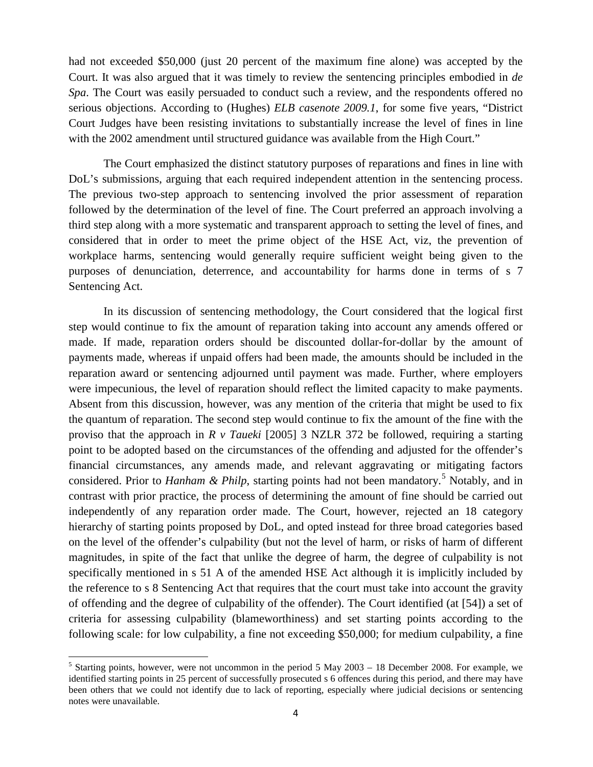had not exceeded \$50,000 (just 20 percent of the maximum fine alone) was accepted by the Court. It was also argued that it was timely to review the sentencing principles embodied in *de Spa*. The Court was easily persuaded to conduct such a review, and the respondents offered no serious objections. According to (Hughes) *ELB casenote 2009.1*, for some five years, "District Court Judges have been resisting invitations to substantially increase the level of fines in line with the 2002 amendment until structured guidance was available from the High Court."

The Court emphasized the distinct statutory purposes of reparations and fines in line with DoL's submissions, arguing that each required independent attention in the sentencing process. The previous two-step approach to sentencing involved the prior assessment of reparation followed by the determination of the level of fine. The Court preferred an approach involving a third step along with a more systematic and transparent approach to setting the level of fines, and considered that in order to meet the prime object of the HSE Act, viz, the prevention of workplace harms, sentencing would generally require sufficient weight being given to the purposes of denunciation, deterrence, and accountability for harms done in terms of s 7 Sentencing Act.

In its discussion of sentencing methodology, the Court considered that the logical first step would continue to fix the amount of reparation taking into account any amends offered or made. If made, reparation orders should be discounted dollar-for-dollar by the amount of payments made, whereas if unpaid offers had been made, the amounts should be included in the reparation award or sentencing adjourned until payment was made. Further, where employers were impecunious, the level of reparation should reflect the limited capacity to make payments. Absent from this discussion, however, was any mention of the criteria that might be used to fix the quantum of reparation. The second step would continue to fix the amount of the fine with the proviso that the approach in *R v Taueki* [2005] 3 NZLR 372 be followed, requiring a starting point to be adopted based on the circumstances of the offending and adjusted for the offender's financial circumstances, any amends made, and relevant aggravating or mitigating factors considered. Prior to *Hanham & Philp*, starting points had not been mandatory.<sup>[5](#page-3-0)</sup> Notably, and in contrast with prior practice, the process of determining the amount of fine should be carried out independently of any reparation order made. The Court, however, rejected an 18 category hierarchy of starting points proposed by DoL, and opted instead for three broad categories based on the level of the offender's culpability (but not the level of harm, or risks of harm of different magnitudes, in spite of the fact that unlike the degree of harm, the degree of culpability is not specifically mentioned in s 51 A of the amended HSE Act although it is implicitly included by the reference to s 8 Sentencing Act that requires that the court must take into account the gravity of offending and the degree of culpability of the offender). The Court identified (at [54]) a set of criteria for assessing culpability (blameworthiness) and set starting points according to the following scale: for low culpability, a fine not exceeding \$50,000; for medium culpability, a fine

 $\overline{\phantom{0}}$ 

<span id="page-3-0"></span><sup>&</sup>lt;sup>5</sup> Starting points, however, were not uncommon in the period 5 May 2003 – 18 December 2008. For example, we identified starting points in 25 percent of successfully prosecuted s 6 offences during this period, and there may have been others that we could not identify due to lack of reporting, especially where judicial decisions or sentencing notes were unavailable.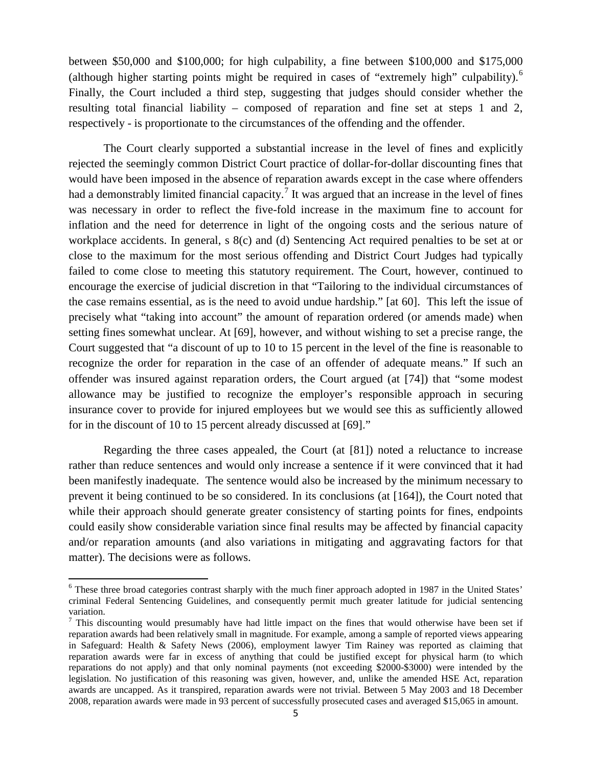between \$50,000 and \$100,000; for high culpability, a fine between \$100,000 and \$175,000 (although higher starting points might be required in cases of "extremely high" culpability).<sup>[6](#page-4-0)</sup> Finally, the Court included a third step, suggesting that judges should consider whether the resulting total financial liability – composed of reparation and fine set at steps 1 and 2, respectively - is proportionate to the circumstances of the offending and the offender.

The Court clearly supported a substantial increase in the level of fines and explicitly rejected the seemingly common District Court practice of dollar-for-dollar discounting fines that would have been imposed in the absence of reparation awards except in the case where offenders had a demonstrably limited financial capacity.<sup>[7](#page-4-1)</sup> It was argued that an increase in the level of fines was necessary in order to reflect the five-fold increase in the maximum fine to account for inflation and the need for deterrence in light of the ongoing costs and the serious nature of workplace accidents. In general, s 8(c) and (d) Sentencing Act required penalties to be set at or close to the maximum for the most serious offending and District Court Judges had typically failed to come close to meeting this statutory requirement. The Court, however, continued to encourage the exercise of judicial discretion in that "Tailoring to the individual circumstances of the case remains essential, as is the need to avoid undue hardship." [at 60]. This left the issue of precisely what "taking into account" the amount of reparation ordered (or amends made) when setting fines somewhat unclear. At [69], however, and without wishing to set a precise range, the Court suggested that "a discount of up to 10 to 15 percent in the level of the fine is reasonable to recognize the order for reparation in the case of an offender of adequate means." If such an offender was insured against reparation orders, the Court argued (at [74]) that "some modest allowance may be justified to recognize the employer's responsible approach in securing insurance cover to provide for injured employees but we would see this as sufficiently allowed for in the discount of 10 to 15 percent already discussed at [69]."

Regarding the three cases appealed, the Court (at [81]) noted a reluctance to increase rather than reduce sentences and would only increase a sentence if it were convinced that it had been manifestly inadequate. The sentence would also be increased by the minimum necessary to prevent it being continued to be so considered. In its conclusions (at [164]), the Court noted that while their approach should generate greater consistency of starting points for fines, endpoints could easily show considerable variation since final results may be affected by financial capacity and/or reparation amounts (and also variations in mitigating and aggravating factors for that matter). The decisions were as follows.

l

<span id="page-4-0"></span><sup>&</sup>lt;sup>6</sup> These three broad categories contrast sharply with the much finer approach adopted in 1987 in the United States' criminal Federal Sentencing Guidelines, and consequently permit much greater latitude for judicial sentencing variation.

<span id="page-4-1"></span> $<sup>7</sup>$  This discounting would presumably have had little impact on the fines that would otherwise have been set if</sup> reparation awards had been relatively small in magnitude. For example, among a sample of reported views appearing in Safeguard: Health & Safety News (2006), employment lawyer Tim Rainey was reported as claiming that reparation awards were far in excess of anything that could be justified except for physical harm (to which reparations do not apply) and that only nominal payments (not exceeding \$2000-\$3000) were intended by the legislation. No justification of this reasoning was given, however, and, unlike the amended HSE Act, reparation awards are uncapped. As it transpired, reparation awards were not trivial. Between 5 May 2003 and 18 December 2008, reparation awards were made in 93 percent of successfully prosecuted cases and averaged \$15,065 in amount.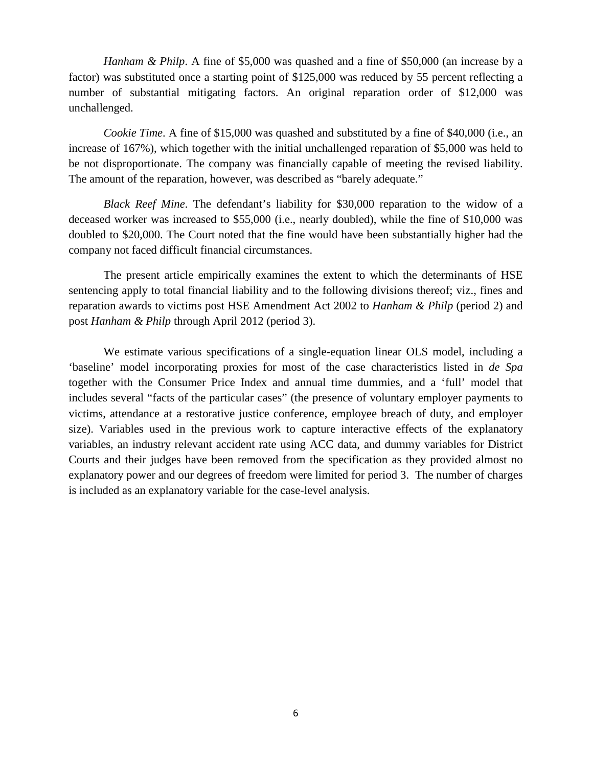*Hanham & Philp.* A fine of \$5,000 was quashed and a fine of \$50,000 (an increase by a factor) was substituted once a starting point of \$125,000 was reduced by 55 percent reflecting a number of substantial mitigating factors. An original reparation order of \$12,000 was unchallenged.

*Cookie Time*. A fine of \$15,000 was quashed and substituted by a fine of \$40,000 (i.e., an increase of 167%), which together with the initial unchallenged reparation of \$5,000 was held to be not disproportionate. The company was financially capable of meeting the revised liability. The amount of the reparation, however, was described as "barely adequate."

*Black Reef Mine*. The defendant's liability for \$30,000 reparation to the widow of a deceased worker was increased to \$55,000 (i.e., nearly doubled), while the fine of \$10,000 was doubled to \$20,000. The Court noted that the fine would have been substantially higher had the company not faced difficult financial circumstances.

The present article empirically examines the extent to which the determinants of HSE sentencing apply to total financial liability and to the following divisions thereof; viz., fines and reparation awards to victims post HSE Amendment Act 2002 to *Hanham & Philp* (period 2) and post *Hanham & Philp* through April 2012 (period 3).

We estimate various specifications of a single-equation linear OLS model, including a 'baseline' model incorporating proxies for most of the case characteristics listed in *de Spa* together with the Consumer Price Index and annual time dummies, and a 'full' model that includes several "facts of the particular cases" (the presence of voluntary employer payments to victims, attendance at a restorative justice conference, employee breach of duty, and employer size). Variables used in the previous work to capture interactive effects of the explanatory variables, an industry relevant accident rate using ACC data, and dummy variables for District Courts and their judges have been removed from the specification as they provided almost no explanatory power and our degrees of freedom were limited for period 3. The number of charges is included as an explanatory variable for the case-level analysis.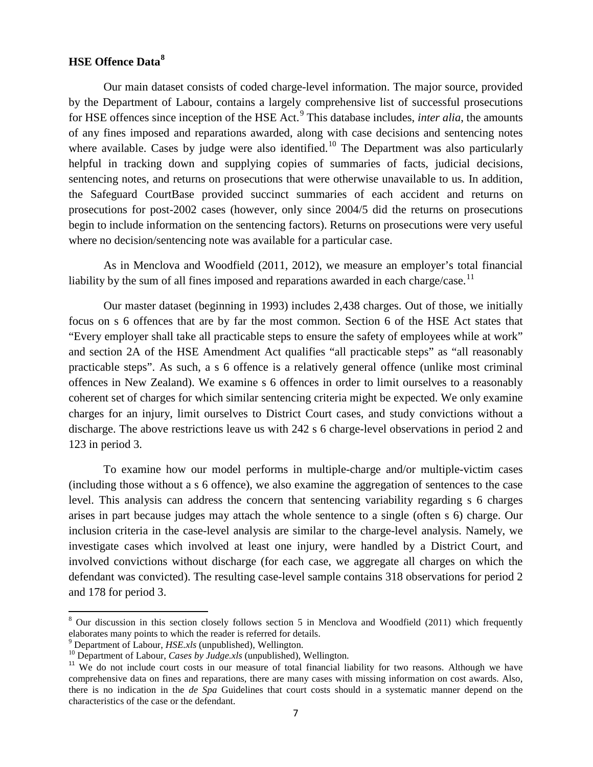## **HSE Offence Data[8](#page-6-0)**

Our main dataset consists of coded charge-level information. The major source, provided by the Department of Labour, contains a largely comprehensive list of successful prosecutions for HSE offences since inception of the HSE Act. [9](#page-6-1) This database includes, *inter alia*, the amounts of any fines imposed and reparations awarded, along with case decisions and sentencing notes where available. Cases by judge were also identified.<sup>[10](#page-6-2)</sup> The Department was also particularly helpful in tracking down and supplying copies of summaries of facts, judicial decisions, sentencing notes, and returns on prosecutions that were otherwise unavailable to us. In addition, the Safeguard CourtBase provided succinct summaries of each accident and returns on prosecutions for post-2002 cases (however, only since 2004/5 did the returns on prosecutions begin to include information on the sentencing factors). Returns on prosecutions were very useful where no decision/sentencing note was available for a particular case.

As in Menclova and Woodfield (2011, 2012), we measure an employer's total financial liability by the sum of all fines imposed and reparations awarded in each charge/case.<sup>[11](#page-6-3)</sup>

Our master dataset (beginning in 1993) includes 2,438 charges. Out of those, we initially focus on s 6 offences that are by far the most common. Section 6 of the HSE Act states that "Every employer shall take all practicable steps to ensure the safety of employees while at work" and section 2A of the HSE Amendment Act qualifies "all practicable steps" as "all reasonably practicable steps". As such, a s 6 offence is a relatively general offence (unlike most criminal offences in New Zealand). We examine s 6 offences in order to limit ourselves to a reasonably coherent set of charges for which similar sentencing criteria might be expected. We only examine charges for an injury, limit ourselves to District Court cases, and study convictions without a discharge. The above restrictions leave us with 242 s 6 charge-level observations in period 2 and 123 in period 3.

To examine how our model performs in multiple-charge and/or multiple-victim cases (including those without a s 6 offence), we also examine the aggregation of sentences to the case level. This analysis can address the concern that sentencing variability regarding s 6 charges arises in part because judges may attach the whole sentence to a single (often s 6) charge. Our inclusion criteria in the case-level analysis are similar to the charge-level analysis. Namely, we investigate cases which involved at least one injury, were handled by a District Court, and involved convictions without discharge (for each case, we aggregate all charges on which the defendant was convicted). The resulting case-level sample contains 318 observations for period 2 and 178 for period 3.

ı

<span id="page-6-0"></span> $8$  Our discussion in this section closely follows section 5 in Menclova and Woodfield (2011) which frequently elaborates many points to which the reader is referred for details.

<span id="page-6-2"></span>

<span id="page-6-3"></span>

<span id="page-6-1"></span><sup>&</sup>lt;sup>9</sup> Department of Labour, *HSE.xls* (unpublished), Wellington.<br><sup>10</sup> Department of Labour, *Cases by Judge.xls* (unpublished), Wellington.<br><sup>11</sup> We do not include court costs in our measure of total financial liability for comprehensive data on fines and reparations, there are many cases with missing information on cost awards. Also, there is no indication in the *de Spa* Guidelines that court costs should in a systematic manner depend on the characteristics of the case or the defendant.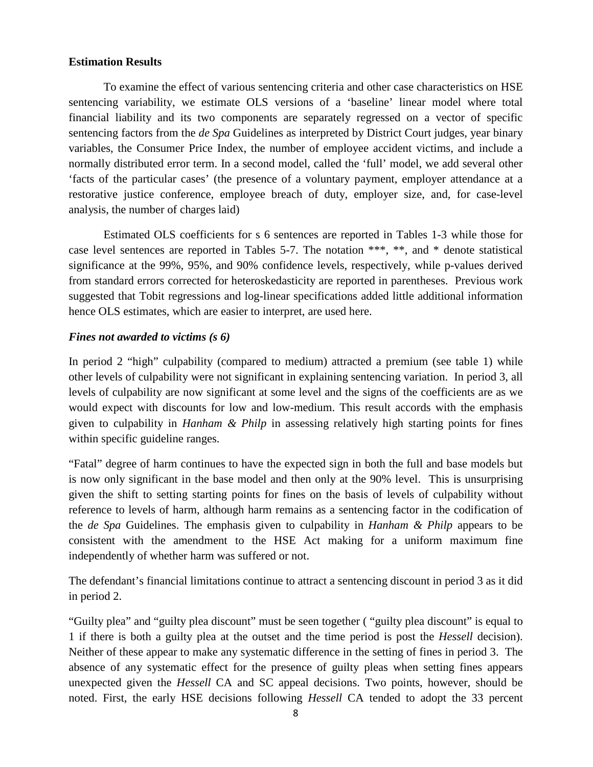### **Estimation Results**

To examine the effect of various sentencing criteria and other case characteristics on HSE sentencing variability, we estimate OLS versions of a 'baseline' linear model where total financial liability and its two components are separately regressed on a vector of specific sentencing factors from the *de Spa* Guidelines as interpreted by District Court judges, year binary variables, the Consumer Price Index, the number of employee accident victims, and include a normally distributed error term. In a second model, called the 'full' model, we add several other 'facts of the particular cases' (the presence of a voluntary payment, employer attendance at a restorative justice conference, employee breach of duty, employer size, and, for case-level analysis, the number of charges laid)

Estimated OLS coefficients for s 6 sentences are reported in Tables 1-3 while those for case level sentences are reported in Tables 5-7. The notation \*\*\*, \*\*, and \* denote statistical significance at the 99%, 95%, and 90% confidence levels, respectively, while p-values derived from standard errors corrected for heteroskedasticity are reported in parentheses. Previous work suggested that Tobit regressions and log-linear specifications added little additional information hence OLS estimates, which are easier to interpret, are used here.

## *Fines not awarded to victims (s 6)*

In period 2 "high" culpability (compared to medium) attracted a premium (see table 1) while other levels of culpability were not significant in explaining sentencing variation. In period 3, all levels of culpability are now significant at some level and the signs of the coefficients are as we would expect with discounts for low and low-medium. This result accords with the emphasis given to culpability in *Hanham & Philp* in assessing relatively high starting points for fines within specific guideline ranges.

"Fatal" degree of harm continues to have the expected sign in both the full and base models but is now only significant in the base model and then only at the 90% level. This is unsurprising given the shift to setting starting points for fines on the basis of levels of culpability without reference to levels of harm, although harm remains as a sentencing factor in the codification of the *de Spa* Guidelines. The emphasis given to culpability in *Hanham & Philp* appears to be consistent with the amendment to the HSE Act making for a uniform maximum fine independently of whether harm was suffered or not.

The defendant's financial limitations continue to attract a sentencing discount in period 3 as it did in period 2.

"Guilty plea" and "guilty plea discount" must be seen together ( "guilty plea discount" is equal to 1 if there is both a guilty plea at the outset and the time period is post the *Hessell* decision). Neither of these appear to make any systematic difference in the setting of fines in period 3. The absence of any systematic effect for the presence of guilty pleas when setting fines appears unexpected given the *Hessell* CA and SC appeal decisions. Two points, however, should be noted. First, the early HSE decisions following *Hessell* CA tended to adopt the 33 percent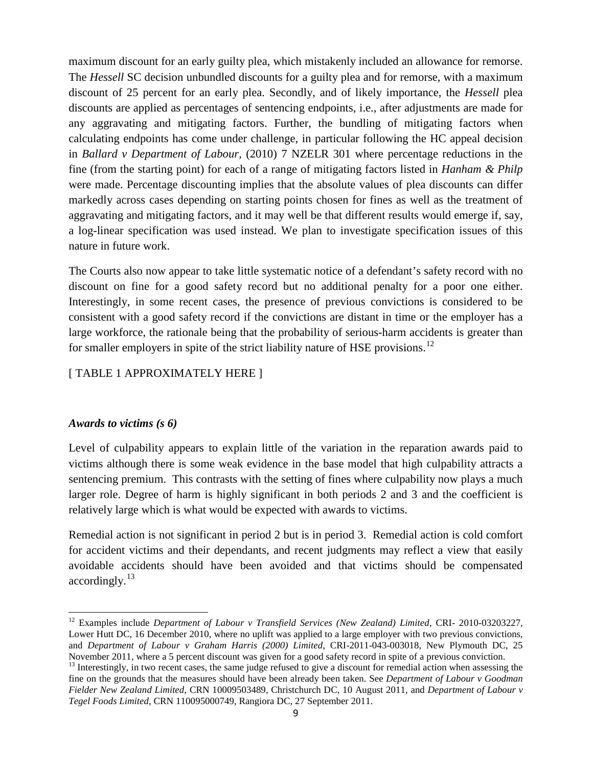maximum discount for an early guilty plea, which mistakenly included an allowance for remorse. The *Hessell* SC decision unbundled discounts for a guilty plea and for remorse, with a maximum discount of 25 percent for an early plea. Secondly, and of likely importance, the *Hessell* plea discounts are applied as percentages of sentencing endpoints, i.e., after adjustments are made for any aggravating and mitigating factors. Further, the bundling of mitigating factors when calculating endpoints has come under challenge, in particular following the HC appeal decision in *Ballard v Department of Labour*, (2010) 7 NZELR 301 where percentage reductions in the fine (from the starting point) for each of a range of mitigating factors listed in *Hanham & Philp*  were made. Percentage discounting implies that the absolute values of plea discounts can differ markedly across cases depending on starting points chosen for fines as well as the treatment of aggravating and mitigating factors, and it may well be that different results would emerge if, say, a log-linear specification was used instead. We plan to investigate specification issues of this nature in future work.

The Courts also now appear to take little systematic notice of a defendant's safety record with no discount on fine for a good safety record but no additional penalty for a poor one either. Interestingly, in some recent cases, the presence of previous convictions is considered to be consistent with a good safety record if the convictions are distant in time or the employer has a large workforce, the rationale being that the probability of serious-harm accidents is greater than for smaller employers in spite of the strict liability nature of HSE provisions.<sup>[12](#page-8-0)</sup>

## [ TABLE 1 APPROXIMATELY HERE ]

### *Awards to victims (s 6)*

ı

Level of culpability appears to explain little of the variation in the reparation awards paid to victims although there is some weak evidence in the base model that high culpability attracts a sentencing premium. This contrasts with the setting of fines where culpability now plays a much larger role. Degree of harm is highly significant in both periods 2 and 3 and the coefficient is relatively large which is what would be expected with awards to victims.

Remedial action is not significant in period 2 but is in period 3. Remedial action is cold comfort for accident victims and their dependants, and recent judgments may reflect a view that easily avoidable accidents should have been avoided and that victims should be compensated  $accordingly.<sup>13</sup>$  $accordingly.<sup>13</sup>$  $accordingly.<sup>13</sup>$ 

<span id="page-8-0"></span><sup>12</sup> Examples include *Department of Labour v Transfield Services (New Zealand) Limited*, CRI- 2010-03203227, Lower Hutt DC, 16 December 2010, where no uplift was applied to a large employer with two previous convictions, and *Department of Labour v Graham Harris (2000) Limited*, CRI-2011-043-003018, New Plymouth DC, 25 November 2011, where a 5 percent discount was given for a good safety record in spite of a previous conviction.

<span id="page-8-1"></span><sup>&</sup>lt;sup>13</sup> Interestingly, in two recent cases, the same judge refused to give a discount for remedial action when assessing the fine on the grounds that the measures should have been already been taken. See *Department of Labour v Goodman Fielder New Zealand Limited*, CRN 10009503489, Christchurch DC, 10 August 2011, and *Department of Labour v Tegel Foods Limited*, CRN 110095000749, Rangiora DC, 27 September 2011.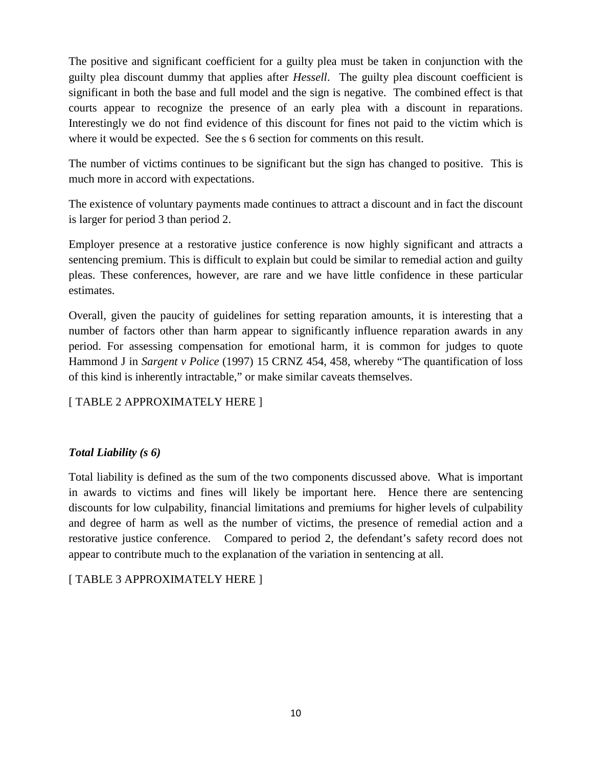The positive and significant coefficient for a guilty plea must be taken in conjunction with the guilty plea discount dummy that applies after *Hessell*. The guilty plea discount coefficient is significant in both the base and full model and the sign is negative. The combined effect is that courts appear to recognize the presence of an early plea with a discount in reparations. Interestingly we do not find evidence of this discount for fines not paid to the victim which is where it would be expected. See the s 6 section for comments on this result.

The number of victims continues to be significant but the sign has changed to positive. This is much more in accord with expectations.

The existence of voluntary payments made continues to attract a discount and in fact the discount is larger for period 3 than period 2.

Employer presence at a restorative justice conference is now highly significant and attracts a sentencing premium. This is difficult to explain but could be similar to remedial action and guilty pleas. These conferences, however, are rare and we have little confidence in these particular estimates.

Overall, given the paucity of guidelines for setting reparation amounts, it is interesting that a number of factors other than harm appear to significantly influence reparation awards in any period. For assessing compensation for emotional harm, it is common for judges to quote Hammond J in *Sargent v Police* (1997) 15 CRNZ 454, 458, whereby "The quantification of loss of this kind is inherently intractable," or make similar caveats themselves.

# [ TABLE 2 APPROXIMATELY HERE ]

## *Total Liability (s 6)*

Total liability is defined as the sum of the two components discussed above. What is important in awards to victims and fines will likely be important here. Hence there are sentencing discounts for low culpability, financial limitations and premiums for higher levels of culpability and degree of harm as well as the number of victims, the presence of remedial action and a restorative justice conference. Compared to period 2, the defendant's safety record does not appear to contribute much to the explanation of the variation in sentencing at all.

[ TABLE 3 APPROXIMATELY HERE ]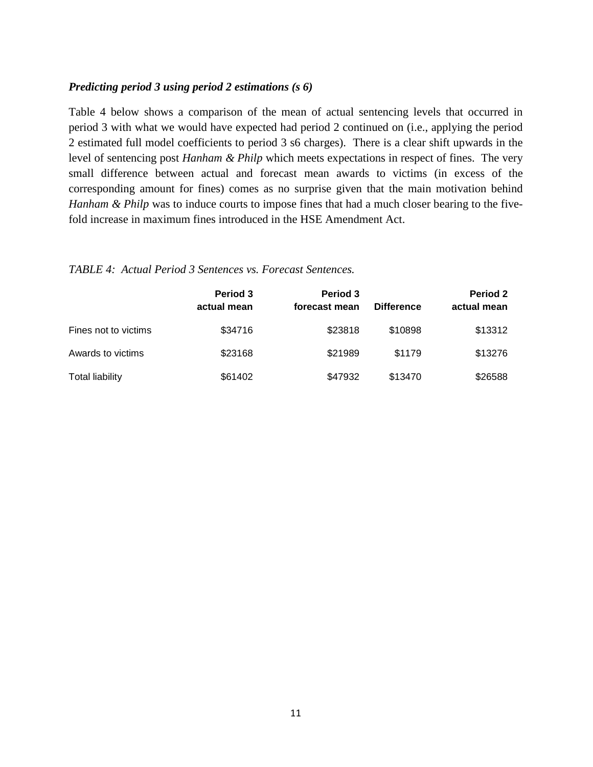#### *Predicting period 3 using period 2 estimations (s 6)*

Table 4 below shows a comparison of the mean of actual sentencing levels that occurred in period 3 with what we would have expected had period 2 continued on (i.e., applying the period 2 estimated full model coefficients to period 3 s6 charges). There is a clear shift upwards in the level of sentencing post *Hanham & Philp* which meets expectations in respect of fines. The very small difference between actual and forecast mean awards to victims (in excess of the corresponding amount for fines) comes as no surprise given that the main motivation behind *Hanham & Philp* was to induce courts to impose fines that had a much closer bearing to the fivefold increase in maximum fines introduced in the HSE Amendment Act.

## *TABLE 4: Actual Period 3 Sentences vs. Forecast Sentences.*

|                        | <b>Period 3</b><br>actual mean | Period 3<br>forecast mean | <b>Difference</b> | Period 2<br>actual mean |
|------------------------|--------------------------------|---------------------------|-------------------|-------------------------|
| Fines not to victims   | \$34716                        | \$23818                   | \$10898           | \$13312                 |
| Awards to victims      | \$23168                        | \$21989                   | \$1179            | \$13276                 |
| <b>Total liability</b> | \$61402                        | \$47932                   | \$13470           | \$26588                 |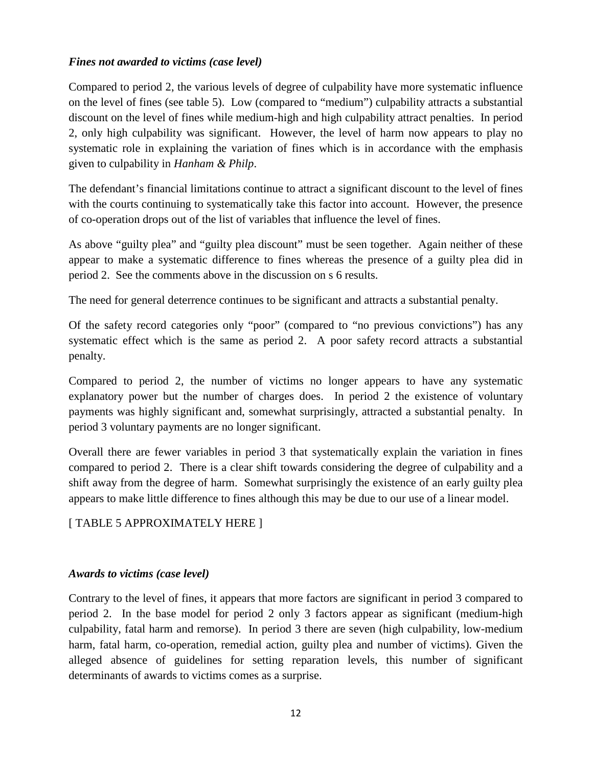## *Fines not awarded to victims (case level)*

Compared to period 2, the various levels of degree of culpability have more systematic influence on the level of fines (see table 5). Low (compared to "medium") culpability attracts a substantial discount on the level of fines while medium-high and high culpability attract penalties. In period 2, only high culpability was significant. However, the level of harm now appears to play no systematic role in explaining the variation of fines which is in accordance with the emphasis given to culpability in *Hanham & Philp*.

The defendant's financial limitations continue to attract a significant discount to the level of fines with the courts continuing to systematically take this factor into account. However, the presence of co-operation drops out of the list of variables that influence the level of fines.

As above "guilty plea" and "guilty plea discount" must be seen together. Again neither of these appear to make a systematic difference to fines whereas the presence of a guilty plea did in period 2. See the comments above in the discussion on s 6 results.

The need for general deterrence continues to be significant and attracts a substantial penalty.

Of the safety record categories only "poor" (compared to "no previous convictions") has any systematic effect which is the same as period 2. A poor safety record attracts a substantial penalty.

Compared to period 2, the number of victims no longer appears to have any systematic explanatory power but the number of charges does. In period 2 the existence of voluntary payments was highly significant and, somewhat surprisingly, attracted a substantial penalty. In period 3 voluntary payments are no longer significant.

Overall there are fewer variables in period 3 that systematically explain the variation in fines compared to period 2. There is a clear shift towards considering the degree of culpability and a shift away from the degree of harm. Somewhat surprisingly the existence of an early guilty plea appears to make little difference to fines although this may be due to our use of a linear model.

[ TABLE 5 APPROXIMATELY HERE ]

### *Awards to victims (case level)*

Contrary to the level of fines, it appears that more factors are significant in period 3 compared to period 2. In the base model for period 2 only 3 factors appear as significant (medium-high culpability, fatal harm and remorse). In period 3 there are seven (high culpability, low-medium harm, fatal harm, co-operation, remedial action, guilty plea and number of victims). Given the alleged absence of guidelines for setting reparation levels, this number of significant determinants of awards to victims comes as a surprise.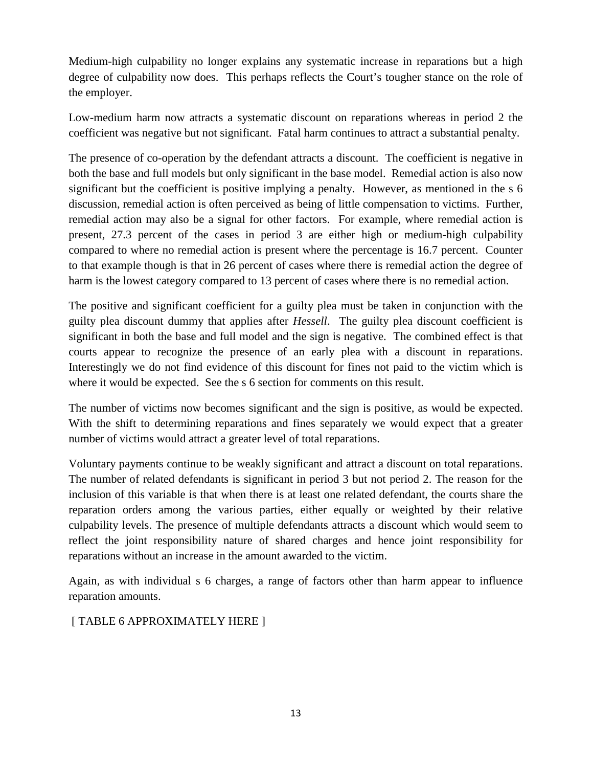Medium-high culpability no longer explains any systematic increase in reparations but a high degree of culpability now does. This perhaps reflects the Court's tougher stance on the role of the employer.

Low-medium harm now attracts a systematic discount on reparations whereas in period 2 the coefficient was negative but not significant. Fatal harm continues to attract a substantial penalty.

The presence of co-operation by the defendant attracts a discount. The coefficient is negative in both the base and full models but only significant in the base model. Remedial action is also now significant but the coefficient is positive implying a penalty. However, as mentioned in the s 6 discussion, remedial action is often perceived as being of little compensation to victims. Further, remedial action may also be a signal for other factors. For example, where remedial action is present, 27.3 percent of the cases in period 3 are either high or medium-high culpability compared to where no remedial action is present where the percentage is 16.7 percent. Counter to that example though is that in 26 percent of cases where there is remedial action the degree of harm is the lowest category compared to 13 percent of cases where there is no remedial action.

The positive and significant coefficient for a guilty plea must be taken in conjunction with the guilty plea discount dummy that applies after *Hessell*. The guilty plea discount coefficient is significant in both the base and full model and the sign is negative. The combined effect is that courts appear to recognize the presence of an early plea with a discount in reparations. Interestingly we do not find evidence of this discount for fines not paid to the victim which is where it would be expected. See the s 6 section for comments on this result.

The number of victims now becomes significant and the sign is positive, as would be expected. With the shift to determining reparations and fines separately we would expect that a greater number of victims would attract a greater level of total reparations.

Voluntary payments continue to be weakly significant and attract a discount on total reparations. The number of related defendants is significant in period 3 but not period 2. The reason for the inclusion of this variable is that when there is at least one related defendant, the courts share the reparation orders among the various parties, either equally or weighted by their relative culpability levels. The presence of multiple defendants attracts a discount which would seem to reflect the joint responsibility nature of shared charges and hence joint responsibility for reparations without an increase in the amount awarded to the victim.

Again, as with individual s 6 charges, a range of factors other than harm appear to influence reparation amounts.

[ TABLE 6 APPROXIMATELY HERE ]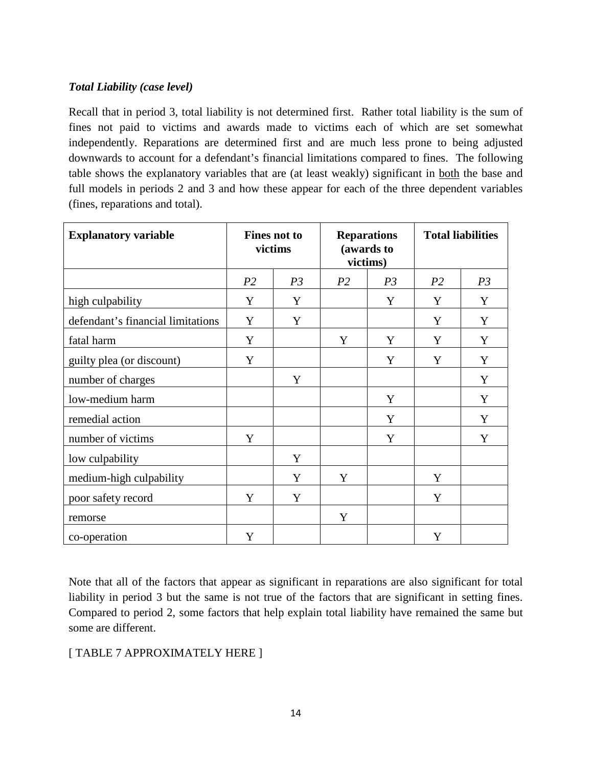## *Total Liability (case level)*

Recall that in period 3, total liability is not determined first. Rather total liability is the sum of fines not paid to victims and awards made to victims each of which are set somewhat independently. Reparations are determined first and are much less prone to being adjusted downwards to account for a defendant's financial limitations compared to fines. The following table shows the explanatory variables that are (at least weakly) significant in both the base and full models in periods 2 and 3 and how these appear for each of the three dependent variables (fines, reparations and total).

| <b>Explanatory variable</b>       | <b>Fines not to</b><br>victims |                | <b>Reparations</b><br>(awards to<br>victims) |                | <b>Total liabilities</b> |                |
|-----------------------------------|--------------------------------|----------------|----------------------------------------------|----------------|--------------------------|----------------|
|                                   | P <sub>2</sub>                 | P <sub>3</sub> | P <sub>2</sub>                               | P <sub>3</sub> | P <sub>2</sub>           | P <sub>3</sub> |
| high culpability                  | Y                              | Y              |                                              | Y              | Y                        | Y              |
| defendant's financial limitations | Y                              | Y              |                                              |                | Y                        | Y              |
| fatal harm                        | Y                              |                | Y                                            | Y              | Y                        | Y              |
| guilty plea (or discount)         | Y                              |                |                                              | Y              | Y                        | Y              |
| number of charges                 |                                | Y              |                                              |                |                          | Y              |
| low-medium harm                   |                                |                |                                              | Y              |                          | Y              |
| remedial action                   |                                |                |                                              | Y              |                          | Y              |
| number of victims                 | Y                              |                |                                              | Y              |                          | Y              |
| low culpability                   |                                | Y              |                                              |                |                          |                |
| medium-high culpability           |                                | Y              | Y                                            |                | Y                        |                |
| poor safety record                | Y                              | Y              |                                              |                | Y                        |                |
| remorse                           |                                |                | Y                                            |                |                          |                |
| co-operation                      | Y                              |                |                                              |                | Y                        |                |

Note that all of the factors that appear as significant in reparations are also significant for total liability in period 3 but the same is not true of the factors that are significant in setting fines. Compared to period 2, some factors that help explain total liability have remained the same but some are different.

## [ TABLE 7 APPROXIMATELY HERE ]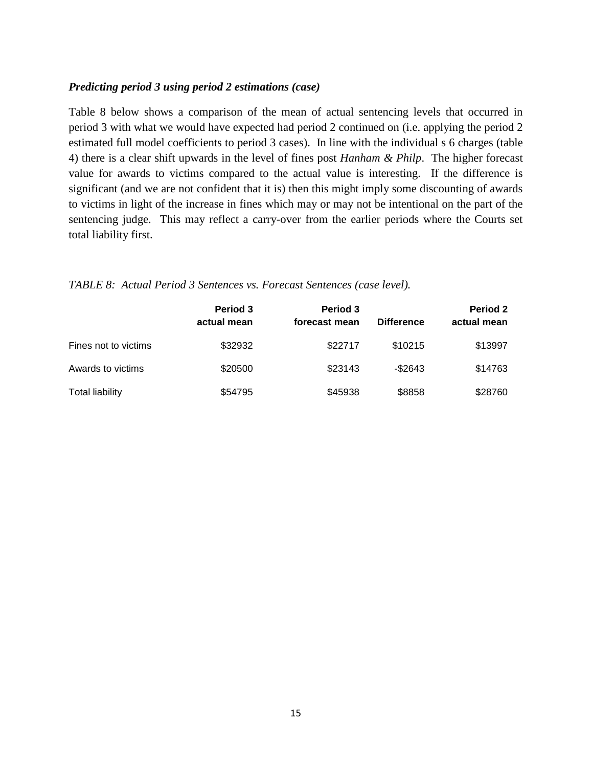#### *Predicting period 3 using period 2 estimations (case)*

Table 8 below shows a comparison of the mean of actual sentencing levels that occurred in period 3 with what we would have expected had period 2 continued on (i.e. applying the period 2 estimated full model coefficients to period 3 cases). In line with the individual s 6 charges (table 4) there is a clear shift upwards in the level of fines post *Hanham & Philp*. The higher forecast value for awards to victims compared to the actual value is interesting. If the difference is significant (and we are not confident that it is) then this might imply some discounting of awards to victims in light of the increase in fines which may or may not be intentional on the part of the sentencing judge. This may reflect a carry-over from the earlier periods where the Courts set total liability first.

*TABLE 8: Actual Period 3 Sentences vs. Forecast Sentences (case level).*

|                        | <b>Period 3</b><br>actual mean | Period 3<br>forecast mean | <b>Difference</b> | Period 2<br>actual mean |
|------------------------|--------------------------------|---------------------------|-------------------|-------------------------|
| Fines not to victims   | \$32932                        | \$22717                   | \$10215           | \$13997                 |
| Awards to victims      | \$20500                        | \$23143                   | $-$ \$2643        | \$14763                 |
| <b>Total liability</b> | \$54795                        | \$45938                   | \$8858            | \$28760                 |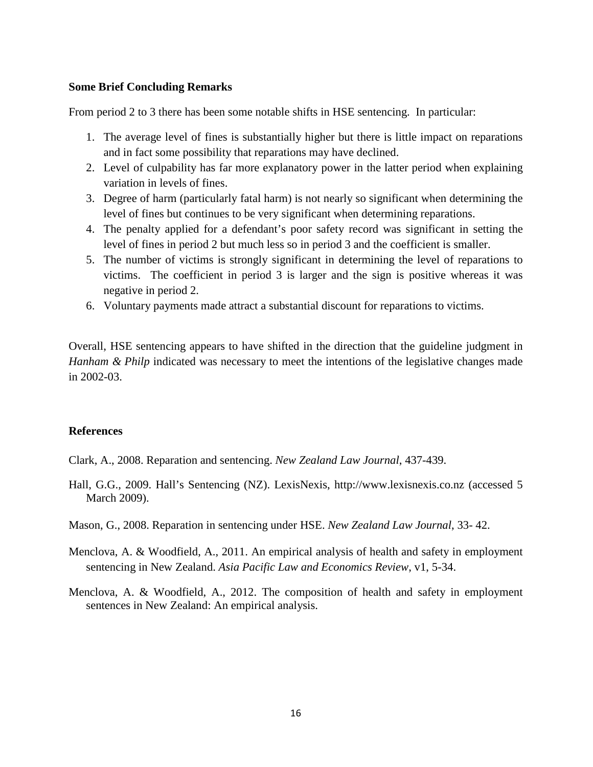#### **Some Brief Concluding Remarks**

From period 2 to 3 there has been some notable shifts in HSE sentencing. In particular:

- 1. The average level of fines is substantially higher but there is little impact on reparations and in fact some possibility that reparations may have declined.
- 2. Level of culpability has far more explanatory power in the latter period when explaining variation in levels of fines.
- 3. Degree of harm (particularly fatal harm) is not nearly so significant when determining the level of fines but continues to be very significant when determining reparations.
- 4. The penalty applied for a defendant's poor safety record was significant in setting the level of fines in period 2 but much less so in period 3 and the coefficient is smaller.
- 5. The number of victims is strongly significant in determining the level of reparations to victims. The coefficient in period 3 is larger and the sign is positive whereas it was negative in period 2.
- 6. Voluntary payments made attract a substantial discount for reparations to victims.

Overall, HSE sentencing appears to have shifted in the direction that the guideline judgment in *Hanham & Philp* indicated was necessary to meet the intentions of the legislative changes made in 2002-03.

### **References**

- Clark, A., 2008. Reparation and sentencing. *New Zealand Law Journal*, 437-439.
- Hall, G.G., 2009. Hall's Sentencing (NZ). LexisNexis, http://www.lexisnexis.co.nz (accessed 5 March 2009).
- Mason, G., 2008. Reparation in sentencing under HSE. *New Zealand Law Journal*, 33- 42.
- Menclova, A. & Woodfield, A., 2011. An empirical analysis of health and safety in employment sentencing in New Zealand. *Asia Pacific Law and Economics Review*, v1, 5-34.
- Menclova, A. & Woodfield, A., 2012. The composition of health and safety in employment sentences in New Zealand: An empirical analysis.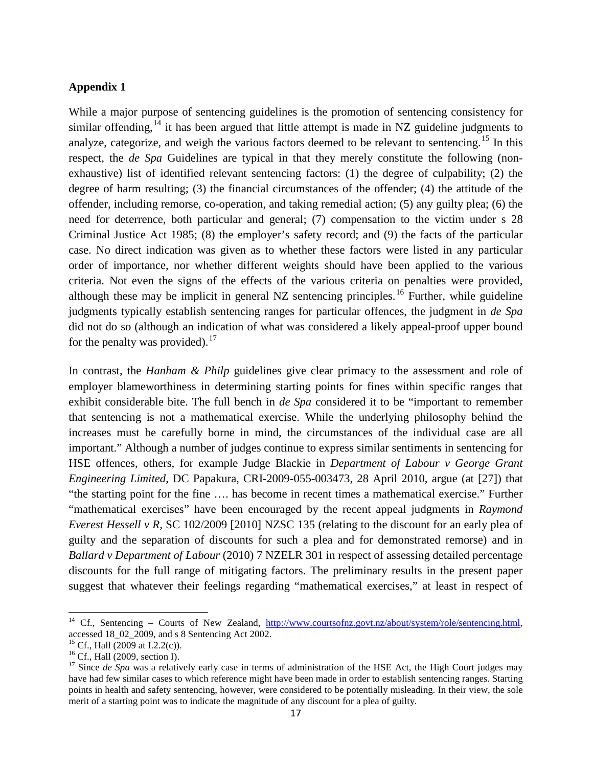#### **Appendix 1**

While a major purpose of sentencing guidelines is the promotion of sentencing consistency for similar offending,  $^{14}$  $^{14}$  $^{14}$  it has been argued that little attempt is made in NZ guideline judgments to analyze, categorize, and weigh the various factors deemed to be relevant to sentencing.<sup>[15](#page-16-1)</sup> In this respect, the *de Spa* Guidelines are typical in that they merely constitute the following (nonexhaustive) list of identified relevant sentencing factors: (1) the degree of culpability; (2) the degree of harm resulting; (3) the financial circumstances of the offender; (4) the attitude of the offender, including remorse, co-operation, and taking remedial action; (5) any guilty plea; (6) the need for deterrence, both particular and general; (7) compensation to the victim under s 28 Criminal Justice Act 1985; (8) the employer's safety record; and (9) the facts of the particular case. No direct indication was given as to whether these factors were listed in any particular order of importance, nor whether different weights should have been applied to the various criteria. Not even the signs of the effects of the various criteria on penalties were provided, although these may be implicit in general  $NZ$  sentencing principles.<sup>[16](#page-16-2)</sup> Further, while guideline judgments typically establish sentencing ranges for particular offences, the judgment in *de Spa*  did not do so (although an indication of what was considered a likely appeal-proof upper bound for the penalty was provided).  $17$ 

In contrast, the *Hanham & Philp* guidelines give clear primacy to the assessment and role of employer blameworthiness in determining starting points for fines within specific ranges that exhibit considerable bite. The full bench in *de Spa* considered it to be "important to remember that sentencing is not a mathematical exercise. While the underlying philosophy behind the increases must be carefully borne in mind, the circumstances of the individual case are all important." Although a number of judges continue to express similar sentiments in sentencing for HSE offences, others, for example Judge Blackie in *Department of Labour v George Grant Engineering Limited*, DC Papakura, CRI-2009-055-003473, 28 April 2010, argue (at [27]) that "the starting point for the fine …. has become in recent times a mathematical exercise." Further "mathematical exercises" have been encouraged by the recent appeal judgments in *Raymond Everest Hessell v R,* SC 102/2009 [2010] NZSC 135 (relating to the discount for an early plea of guilty and the separation of discounts for such a plea and for demonstrated remorse) and in *Ballard v Department of Labour* (2010) 7 NZELR 301 in respect of assessing detailed percentage discounts for the full range of mitigating factors. The preliminary results in the present paper suggest that whatever their feelings regarding "mathematical exercises," at least in respect of

ı

<span id="page-16-0"></span><sup>&</sup>lt;sup>14</sup> Cf., Sentencing – Courts of New Zealand, http://www.courtsofnz.govt.nz/about/system/role/sentencing.html, accessed  $18\_02\_2009$ , and s 8 Sentencing Act 2002.<br><sup>15</sup> Cf., Hall (2009 at I.2.2(c)).

<span id="page-16-3"></span><span id="page-16-2"></span><span id="page-16-1"></span><sup>&</sup>lt;sup>16</sup> Cf., Hall (2009, section I).<br><sup>17</sup> Since *de Spa* was a relatively early case in terms of administration of the HSE Act, the High Court judges may have had few similar cases to which reference might have been made in order to establish sentencing ranges. Starting points in health and safety sentencing, however, were considered to be potentially misleading. In their view, the sole merit of a starting point was to indicate the magnitude of any discount for a plea of guilty.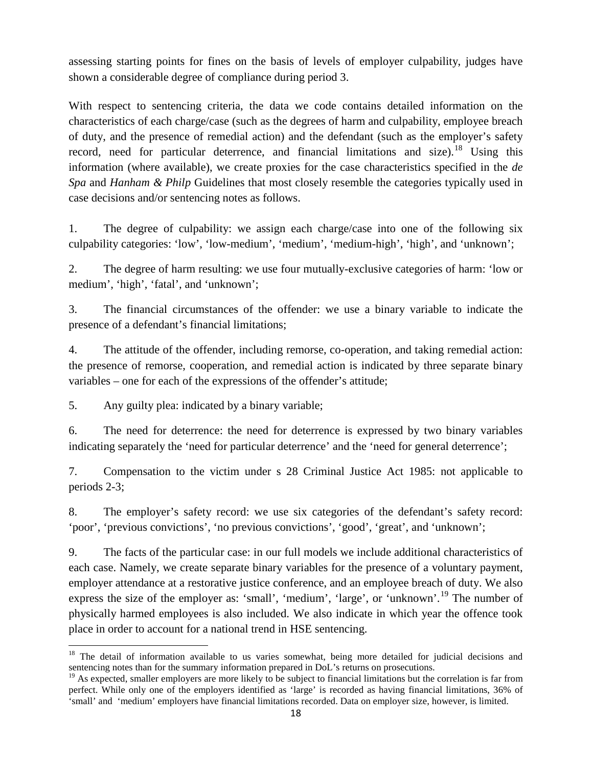assessing starting points for fines on the basis of levels of employer culpability, judges have shown a considerable degree of compliance during period 3.

With respect to sentencing criteria, the data we code contains detailed information on the characteristics of each charge/case (such as the degrees of harm and culpability, employee breach of duty, and the presence of remedial action) and the defendant (such as the employer's safety record, need for particular deterrence, and financial limitations and size).<sup>[18](#page-17-0)</sup> Using this information (where available), we create proxies for the case characteristics specified in the *de Spa* and *Hanham & Philp* Guidelines that most closely resemble the categories typically used in case decisions and/or sentencing notes as follows.

1. The degree of culpability: we assign each charge/case into one of the following six culpability categories: 'low', 'low-medium', 'medium', 'medium-high', 'high', and 'unknown';

2. The degree of harm resulting: we use four mutually-exclusive categories of harm: 'low or medium', 'high', 'fatal', and 'unknown';

3. The financial circumstances of the offender: we use a binary variable to indicate the presence of a defendant's financial limitations;

4. The attitude of the offender, including remorse, co-operation, and taking remedial action: the presence of remorse, cooperation, and remedial action is indicated by three separate binary variables – one for each of the expressions of the offender's attitude;

5. Any guilty plea: indicated by a binary variable;

l

6. The need for deterrence: the need for deterrence is expressed by two binary variables indicating separately the 'need for particular deterrence' and the 'need for general deterrence';

7. Compensation to the victim under s 28 Criminal Justice Act 1985: not applicable to periods 2-3;

8. The employer's safety record: we use six categories of the defendant's safety record: 'poor', 'previous convictions', 'no previous convictions', 'good', 'great', and 'unknown';

9. The facts of the particular case: in our full models we include additional characteristics of each case. Namely, we create separate binary variables for the presence of a voluntary payment, employer attendance at a restorative justice conference, and an employee breach of duty. We also express the size of the employer as: 'small', 'medium', 'large', or 'unknown'.<sup>[19](#page-17-1)</sup> The number of physically harmed employees is also included. We also indicate in which year the offence took place in order to account for a national trend in HSE sentencing.

<span id="page-17-0"></span><sup>&</sup>lt;sup>18</sup> The detail of information available to us varies somewhat, being more detailed for judicial decisions and sentencing notes than for the summary information prepared in DoL's returns on prosecutions.

<span id="page-17-1"></span> $<sup>19</sup>$  As expected, smaller employers are more likely to be subject to financial limitations but the correlation is far from</sup> perfect. While only one of the employers identified as 'large' is recorded as having financial limitations, 36% of 'small' and 'medium' employers have financial limitations recorded. Data on employer size, however, is limited.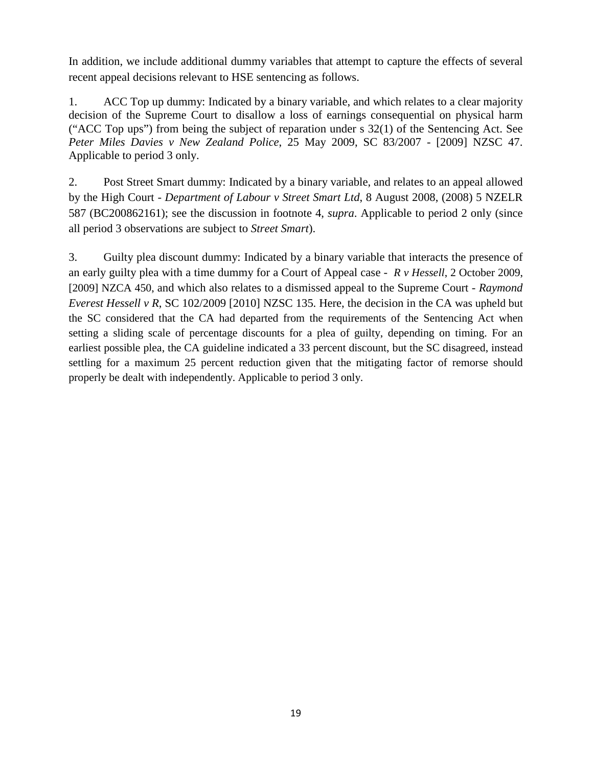In addition, we include additional dummy variables that attempt to capture the effects of several recent appeal decisions relevant to HSE sentencing as follows.

1. ACC Top up dummy: Indicated by a binary variable, and which relates to a clear majority decision of the Supreme Court to disallow a loss of earnings consequential on physical harm ("ACC Top ups") from being the subject of reparation under s 32(1) of the Sentencing Act. See *Peter Miles Davies v New Zealand Police*, 25 May 2009, SC 83/2007 - [2009] NZSC 47. Applicable to period 3 only.

2. Post Street Smart dummy: Indicated by a binary variable, and relates to an appeal allowed by the High Court - *Department of Labour v Street Smart Ltd*, 8 August 2008, (2008) 5 NZELR 587 (BC200862161); see the discussion in footnote 4, *supra*. Applicable to period 2 only (since all period 3 observations are subject to *Street Smart*).

3. Guilty plea discount dummy: Indicated by a binary variable that interacts the presence of an early guilty plea with a time dummy for a Court of Appeal case - *R v Hessell*, 2 October 2009, [2009] NZCA 450, and which also relates to a dismissed appeal to the Supreme Court - *Raymond Everest Hessell v R*, SC 102/2009 [2010] NZSC 135. Here, the decision in the CA was upheld but the SC considered that the CA had departed from the requirements of the Sentencing Act when setting a sliding scale of percentage discounts for a plea of guilty, depending on timing. For an earliest possible plea, the CA guideline indicated a 33 percent discount, but the SC disagreed, instead settling for a maximum 25 percent reduction given that the mitigating factor of remorse should properly be dealt with independently. Applicable to period 3 only.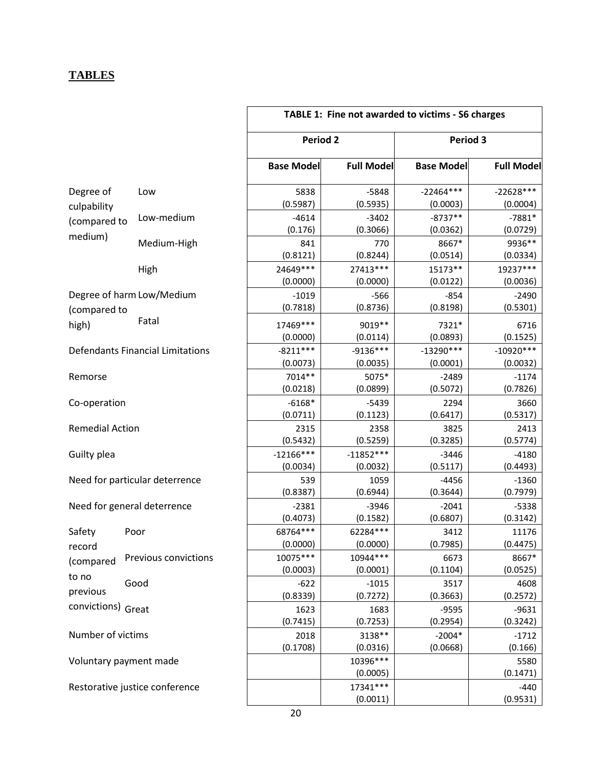# **TABLES**

|                             |                                         | TABLE 1: Fine not awarded to victims - S6 charges |                         |                         |                         |  |
|-----------------------------|-----------------------------------------|---------------------------------------------------|-------------------------|-------------------------|-------------------------|--|
|                             |                                         | <b>Period 2</b>                                   |                         | Period 3                |                         |  |
|                             |                                         | <b>Base Model</b>                                 | <b>Full Model</b>       | <b>Base Model</b>       | <b>Full Model</b>       |  |
| Degree of<br>culpability    | Low                                     | 5838<br>(0.5987)                                  | $-5848$<br>(0.5935)     | $-22464***$<br>(0.0003) | $-22628***$<br>(0.0004) |  |
| (compared to                | Low-medium                              | $-4614$<br>(0.176)                                | $-3402$<br>(0.3066)     | $-8737**$<br>(0.0362)   | $-7881*$<br>(0.0729)    |  |
| medium)                     | Medium-High                             | 841<br>(0.8121)                                   | 770<br>(0.8244)         | 8667*<br>(0.0514)       | 9936**<br>(0.0334)      |  |
|                             | High                                    | 24649 ***<br>(0.0000)                             | 27413***<br>(0.0000)    | 15173**<br>(0.0122)     | 19237***<br>(0.0036)    |  |
| (compared to                | Degree of harm Low/Medium               | $-1019$<br>(0.7818)                               | $-566$<br>(0.8736)      | $-854$<br>(0.8198)      | $-2490$<br>(0.5301)     |  |
| high)                       | Fatal                                   | 17469 ***<br>(0.0000)                             | 9019 **<br>(0.0114)     | 7321*<br>(0.0893)       | 6716<br>(0.1525)        |  |
|                             | <b>Defendants Financial Limitations</b> | $-8211***$<br>(0.0073)                            | $-9136***$<br>(0.0035)  | $-13290***$<br>(0.0001) | $-10920***$<br>(0.0032) |  |
| Remorse                     |                                         | 7014**<br>(0.0218)                                | 5075*<br>(0.0899)       | $-2489$<br>(0.5072)     | $-1174$<br>(0.7826)     |  |
| Co-operation                |                                         | $-6168*$<br>(0.0711)                              | $-5439$<br>(0.1123)     | 2294<br>(0.6417)        | 3660<br>(0.5317)        |  |
| <b>Remedial Action</b>      |                                         | 2315<br>(0.5432)                                  | 2358<br>(0.5259)        | 3825<br>(0.3285)        | 2413<br>(0.5774)        |  |
| Guilty plea                 |                                         | $-12166***$<br>(0.0034)                           | $-11852***$<br>(0.0032) | $-3446$<br>(0.5117)     | $-4180$<br>(0.4493)     |  |
|                             | Need for particular deterrence          | 539<br>(0.8387)                                   | 1059<br>(0.6944)        | $-4456$<br>(0.3644)     | $-1360$<br>(0.7979)     |  |
| Need for general deterrence |                                         | $-2381$<br>(0.4073)                               | $-3946$<br>(0.1582)     | $-2041$<br>(0.6807)     | $-5338$<br>(0.3142)     |  |
| Safety<br>record            | Poor                                    | 68764***<br>(0.0000)                              | 62284***<br>(0.0000)    | 3412<br>(0.7985)        | 11176<br>(0.4475)       |  |
| (compared                   | Previous convictions                    | 10075 ***<br>(0.0003)                             | 10944***<br>(0.0001)    | 6673<br>(0.1104)        | 8667*<br>(0.0525)       |  |
| to no<br>previous           | Good                                    | $-622$<br>(0.8339)                                | $-1015$<br>(0.7272)     | 3517<br>(0.3663)        | 4608<br>(0.2572)        |  |
| convictions) Great          |                                         | 1623<br>(0.7415)                                  | 1683<br>(0.7253)        | $-9595$<br>(0.2954)     | $-9631$<br>(0.3242)     |  |
| Number of victims           |                                         | 2018<br>(0.1708)                                  | 3138**<br>(0.0316)      | $-2004*$<br>(0.0668)    | $-1712$<br>(0.166)      |  |
| Voluntary payment made      |                                         |                                                   | 10396***<br>(0.0005)    |                         | 5580<br>(0.1471)        |  |
|                             | Restorative justice conference          |                                                   | 17341***<br>(0.0011)    |                         | $-440$<br>(0.9531)      |  |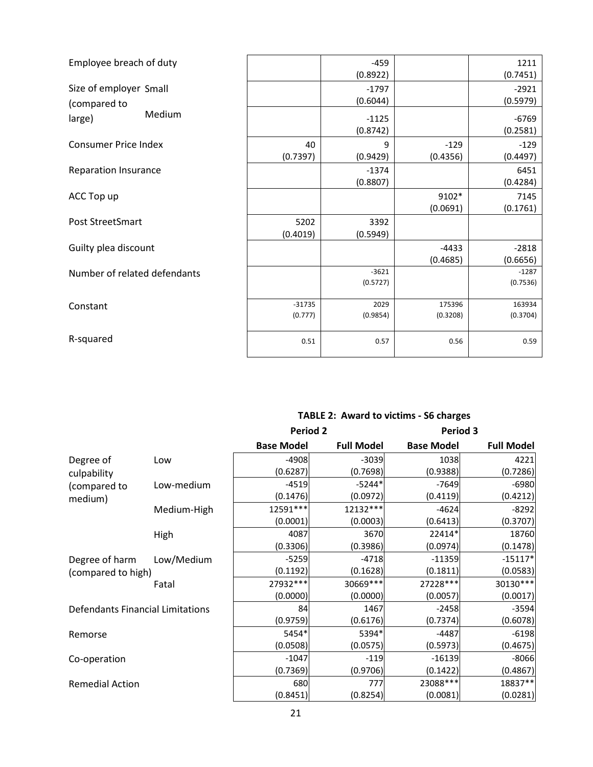| Employee breach of duty      |          | $-459$   |          | 1211     |
|------------------------------|----------|----------|----------|----------|
|                              |          | (0.8922) |          | (0.7451) |
| Size of employer Small       |          | $-1797$  |          | $-2921$  |
| (compared to                 |          | (0.6044) |          | (0.5979) |
| Medium<br>large)             |          | $-1125$  |          | $-6769$  |
|                              |          | (0.8742) |          | (0.2581) |
| <b>Consumer Price Index</b>  | 40       | 9        | $-129$   | $-129$   |
|                              | (0.7397) | (0.9429) | (0.4356) | (0.4497) |
| <b>Reparation Insurance</b>  |          | $-1374$  |          | 6451     |
|                              |          | (0.8807) |          | (0.4284) |
| ACC Top up                   |          |          | 9102*    | 7145     |
|                              |          |          | (0.0691) | (0.1761) |
| Post StreetSmart             | 5202     | 3392     |          |          |
|                              | (0.4019) | (0.5949) |          |          |
| Guilty plea discount         |          |          | $-4433$  | $-2818$  |
|                              |          |          | (0.4685) | (0.6656) |
| Number of related defendants |          | $-3621$  |          | $-1287$  |
|                              |          | (0.5727) |          | (0.7536) |
|                              | $-31735$ | 2029     | 175396   | 163934   |
| Constant                     | (0.777)  | (0.9854) | (0.3208) | (0.3704) |
|                              |          |          |          |          |
| R-squared                    | 0.51     | 0.57     | 0.56     | 0.59     |
|                              |          |          |          |          |

# **TABLE 2: Award to victims - S6 charges**

|                                         |             | <b>Period 2</b>   |                   | Period 3          |                   |
|-----------------------------------------|-------------|-------------------|-------------------|-------------------|-------------------|
|                                         |             | <b>Base Model</b> | <b>Full Model</b> | <b>Base Model</b> | <b>Full Model</b> |
| Degree of                               | Low         | $-4908$           | $-3039$           | 1038              | 4221              |
| culpability                             |             | (0.6287)          | (0.7698)          | (0.9388)          | (0.7286)          |
| (compared to                            | Low-medium  | $-4519$           | $-5244*$          | $-7649$           | $-6980$           |
| medium)                                 |             | (0.1476)          | (0.0972)          | (0.4119)          | (0.4212)          |
|                                         | Medium-High | 12591 ***         | 12132 ***         | $-4624$           | $-8292$           |
|                                         |             | (0.0001)          | (0.0003)          | (0.6413)          | (0.3707)          |
|                                         | High        | 4087              | 3670              | 22414*            | 18760             |
|                                         |             | (0.3306)          | (0.3986)          | (0.0974)          | (0.1478)          |
| Degree of harm                          | Low/Medium  | $-5259$           | $-4718$           | $-11359$          | $-15117*$         |
| (compared to high)                      |             | (0.1192)          | (0.1628)          | (0.1811)          | (0.0583)          |
|                                         | Fatal       | 27932 ***         | 30669 ***         | 27228 ***         | 30130***          |
|                                         |             | (0.0000)          | (0.0000)          | (0.0057)          | (0.0017)          |
| <b>Defendants Financial Limitations</b> |             | 84                | 1467              | $-2458$           | $-3594$           |
|                                         |             | (0.9759)          | (0.6176)          | (0.7374)          | (0.6078)          |
| Remorse                                 |             | 5454*             | 5394*             | $-4487$           | $-6198$           |
|                                         |             | (0.0508)          | (0.0575)          | (0.5973)          | (0.4675)          |
| Co-operation                            |             | $-1047$           | $-119$            | $-16139$          | $-8066$           |
|                                         |             | (0.7369)          | (0.9706)          | (0.1422)          | (0.4867)          |
| <b>Remedial Action</b>                  |             | 680               | 777               | 23088 ***         | 18837**           |
|                                         |             | (0.8451)          | (0.8254)          | (0.0081)          | (0.0281)          |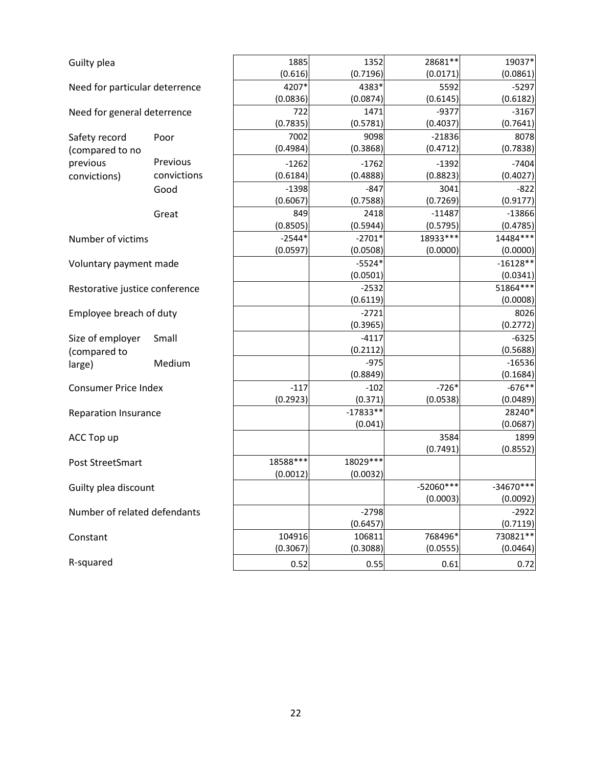| Guilty plea                    |             | 1885     | 1352       | 28681 **    | 19037*      |
|--------------------------------|-------------|----------|------------|-------------|-------------|
|                                |             | (0.616)  | (0.7196)   | (0.0171)    | (0.0861)    |
| Need for particular deterrence |             | 4207*    | 4383*      | 5592        | $-5297$     |
|                                |             | (0.0836) | (0.0874)   | (0.6145)    | (0.6182)    |
| Need for general deterrence    |             | 722      | 1471       | $-9377$     | $-3167$     |
|                                |             | (0.7835) | (0.5781)   | (0.4037)    | (0.7641)    |
| Safety record                  | Poor        | 7002     | 9098       | $-21836$    | 8078        |
| (compared to no                |             | (0.4984) | (0.3868)   | (0.4712)    | (0.7838)    |
| previous                       | Previous    | $-1262$  | $-1762$    | $-1392$     | $-7404$     |
| convictions)                   | convictions | (0.6184) | (0.4888)   | (0.8823)    | (0.4027)    |
|                                | Good        | $-1398$  | $-847$     | 3041        | $-822$      |
|                                |             | (0.6067) | (0.7588)   | (0.7269)    | (0.9177)    |
|                                | Great       | 849      | 2418       | $-11487$    | $-13866$    |
|                                |             | (0.8505) | (0.5944)   | (0.5795)    | (0.4785)    |
| Number of victims              |             | $-2544*$ | $-2701*$   | 18933***    | 14484 ***   |
|                                |             | (0.0597) | (0.0508)   | (0.0000)    | (0.0000)    |
| Voluntary payment made         |             |          | $-5524*$   |             | $-16128**$  |
|                                |             |          | (0.0501)   |             | (0.0341)    |
| Restorative justice conference |             |          | $-2532$    |             | 51864***    |
|                                |             |          | (0.6119)   |             | (0.0008)    |
| Employee breach of duty        |             |          | $-2721$    |             | 8026        |
|                                |             |          | (0.3965)   |             | (0.2772)    |
| Size of employer               | Small       |          | $-4117$    |             | $-6325$     |
| (compared to                   |             |          | (0.2112)   |             | (0.5688)    |
| large)                         | Medium      |          | $-975$     |             | $-16536$    |
|                                |             |          | (0.8849)   |             | (0.1684)    |
| <b>Consumer Price Index</b>    |             | $-117$   | $-102$     | $-726*$     | $-676**$    |
|                                |             | (0.2923) | (0.371)    | (0.0538)    | (0.0489)    |
| <b>Reparation Insurance</b>    |             |          | $-17833**$ |             | 28240*      |
|                                |             |          | (0.041)    |             | (0.0687)    |
| ACC Top up                     |             |          |            | 3584        | 1899        |
|                                |             |          |            | (0.7491)    | (0.8552)    |
| Post StreetSmart               |             | 18588*** | 18029 ***  |             |             |
|                                |             | (0.0012) | (0.0032)   |             |             |
| Guilty plea discount           |             |          |            | $-52060***$ | $-34670***$ |
|                                |             |          |            | (0.0003)    | (0.0092)    |
| Number of related defendants   |             |          | $-2798$    |             | $-2922$     |
|                                |             |          | (0.6457)   |             | (0.7119)    |
| Constant                       |             | 104916   | 106811     | 768496*     | 730821 **   |
|                                |             | (0.3067) | (0.3088)   | (0.0555)    | (0.0464)    |
| R-squared                      |             | 0.52     | 0.55       | 0.61        | 0.72        |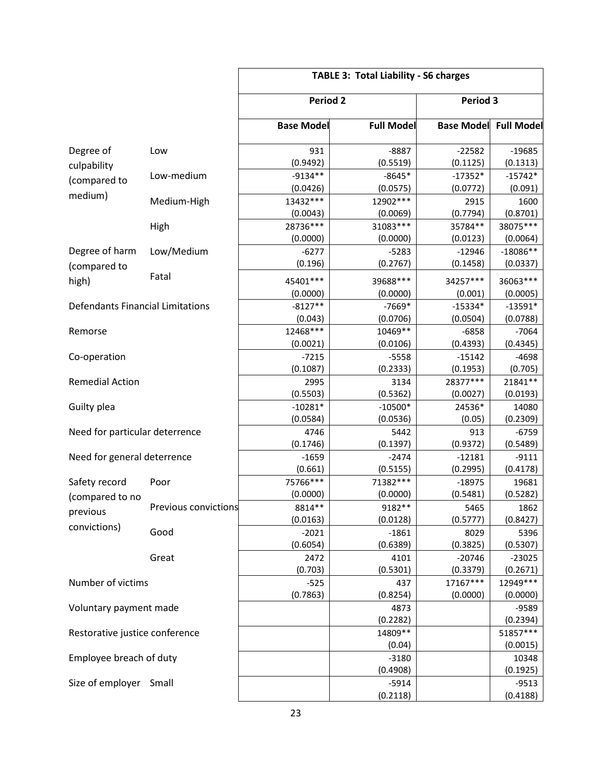|                                         |                      | <b>TABLE 3: Total Liability - S6 charges</b> |                       |                       |                        |  |  |
|-----------------------------------------|----------------------|----------------------------------------------|-----------------------|-----------------------|------------------------|--|--|
|                                         |                      | <b>Period 2</b>                              |                       | Period 3              |                        |  |  |
|                                         |                      | <b>Base Model</b>                            | <b>Full Model</b>     | <b>Base Model</b>     | <b>Full Model</b>      |  |  |
| Degree of                               | Low                  | 931<br>(0.9492)                              | $-8887$<br>(0.5519)   | $-22582$<br>(0.1125)  | $-19685$<br>(0.1313)   |  |  |
| culpability<br>(compared to             | Low-medium           | $-9134**$<br>(0.0426)                        | $-8645*$<br>(0.0575)  | $-17352*$<br>(0.0772) | $-15742*$<br>(0.091)   |  |  |
| medium)                                 | Medium-High          | 13432 ***<br>(0.0043)                        | 12902 ***<br>(0.0069) | 2915<br>(0.7794)      | 1600<br>(0.8701)       |  |  |
|                                         | High                 | 28736***                                     | 31083***              | 35784**               | 38075 ***              |  |  |
| Degree of harm                          | Low/Medium           | (0.0000)<br>$-6277$                          | (0.0000)<br>$-5283$   | (0.0123)<br>$-12946$  | (0.0064)<br>$-18086**$ |  |  |
| (compared to<br>high)                   | Fatal                | (0.196)<br>45401 ***                         | (0.2767)<br>39688 *** | (0.1458)<br>34257***  | (0.0337)<br>36063 ***  |  |  |
| <b>Defendants Financial Limitations</b> |                      | (0.0000)<br>$-8127**$                        | (0.0000)<br>$-7669*$  | (0.001)<br>$-15334*$  | (0.0005)<br>$-13591*$  |  |  |
| Remorse                                 |                      | (0.043)<br>12468***                          | (0.0706)<br>10469**   | (0.0504)<br>$-6858$   | (0.0788)<br>$-7064$    |  |  |
|                                         |                      | (0.0021)                                     | (0.0106)              | (0.4393)              | (0.4345)               |  |  |
| Co-operation                            |                      | $-7215$<br>(0.1087)                          | $-5558$<br>(0.2333)   | $-15142$<br>(0.1953)  | $-4698$<br>(0.705)     |  |  |
| <b>Remedial Action</b>                  |                      | 2995<br>(0.5503)                             | 3134<br>(0.5362)      | 28377***<br>(0.0027)  | 21841**<br>(0.0193)    |  |  |
| Guilty plea                             |                      | $-10281*$<br>(0.0584)                        | $-10500*$<br>(0.0536) | 24536*<br>(0.05)      | 14080<br>(0.2309)      |  |  |
| Need for particular deterrence          |                      | 4746<br>(0.1746)                             | 5442<br>(0.1397)      | 913<br>(0.9372)       | $-6759$<br>(0.5489)    |  |  |
| Need for general deterrence             |                      | $-1659$                                      | $-2474$               | $-12181$              | $-9111$                |  |  |
| Safety record                           | Poor                 | (0.661)<br>75766***                          | (0.5155)<br>71382 *** | (0.2995)<br>$-18975$  | (0.4178)<br>19681      |  |  |
| (compared to no<br>previous             | Previous convictions | (0.0000)<br>8814**                           | (0.0000)<br>9182**    | (0.5481)<br>5465      | (0.5282)<br>1862       |  |  |
| convictions)                            | Good                 | (0.0163)<br>$-2021$                          | (0.0128)<br>$-1861$   | (0.5777)<br>8029      | (0.8427)<br>5396       |  |  |
|                                         | Great                | (0.6054)<br>2472                             | (0.6389)<br>4101      | (0.3825)<br>$-20746$  | (0.5307)<br>$-23025$   |  |  |
| Number of victims                       |                      | (0.703)<br>$-525$                            | (0.5301)<br>437       | (0.3379)<br>17167***  | (0.2671)<br>12949***   |  |  |
| Voluntary payment made                  |                      | (0.7863)                                     | (0.8254)<br>4873      | (0.0000)              | (0.0000)<br>$-9589$    |  |  |
|                                         |                      |                                              | (0.2282)              |                       | (0.2394)               |  |  |
| Restorative justice conference          |                      |                                              | 14809**<br>(0.04)     |                       | 51857***<br>(0.0015)   |  |  |
| Employee breach of duty                 |                      |                                              | $-3180$<br>(0.4908)   |                       | 10348<br>(0.1925)      |  |  |
| Size of employer                        | Small                |                                              | $-5914$<br>(0.2118)   |                       | $-9513$<br>(0.4188)    |  |  |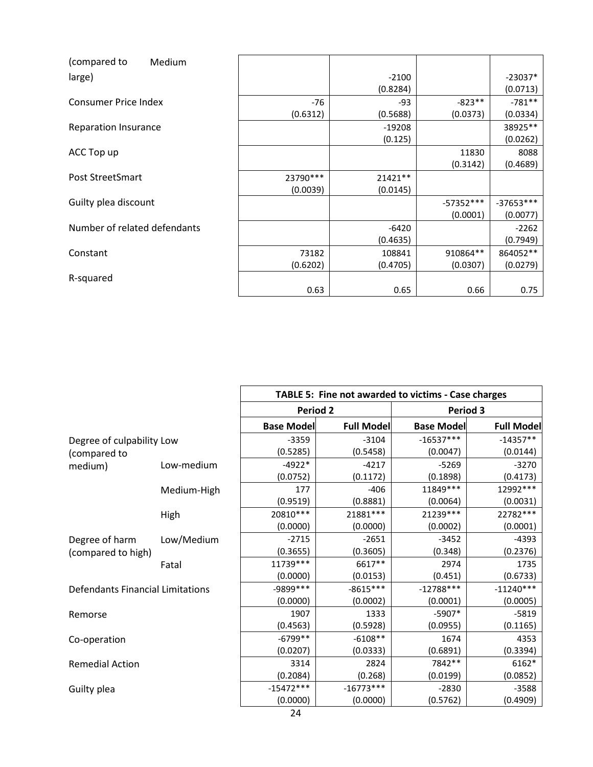| (compared to<br>Medium       |           |          |             |             |
|------------------------------|-----------|----------|-------------|-------------|
| large)                       |           | $-2100$  |             | $-23037*$   |
|                              |           | (0.8284) |             | (0.0713)    |
| <b>Consumer Price Index</b>  | $-76$     | $-93$    | $-823**$    | $-781**$    |
|                              | (0.6312)  | (0.5688) | (0.0373)    | (0.0334)    |
| <b>Reparation Insurance</b>  |           | $-19208$ |             | 38925**     |
|                              |           | (0.125)  |             | (0.0262)    |
| ACC Top up                   |           |          | 11830       | 8088        |
|                              |           |          | (0.3142)    | (0.4689)    |
| Post StreetSmart             | 23790 *** | 21421**  |             |             |
|                              | (0.0039)  | (0.0145) |             |             |
| Guilty plea discount         |           |          | $-57352***$ | $-37653***$ |
|                              |           |          | (0.0001)    | (0.0077)    |
| Number of related defendants |           | $-6420$  |             | $-2262$     |
|                              |           | (0.4635) |             | (0.7949)    |
| Constant                     | 73182     | 108841   | 910864**    | 864052**    |
|                              | (0.6202)  | (0.4705) | (0.0307)    | (0.0279)    |
| R-squared                    |           |          |             |             |
|                              | 0.63      | 0.65     | 0.66        | 0.75        |

|                                         |             |                   | TABLE 5: Fine not awarded to victims - Case charges |                   |                   |
|-----------------------------------------|-------------|-------------------|-----------------------------------------------------|-------------------|-------------------|
|                                         |             | Period 2          |                                                     |                   | Period 3          |
|                                         |             | <b>Base Model</b> | <b>Full Model</b>                                   | <b>Base Model</b> | <b>Full Model</b> |
| Degree of culpability Low               |             | $-3359$           | $-3104$                                             | $-16537***$       | $-14357**$        |
| (compared to                            |             | (0.5285)          | (0.5458)                                            | (0.0047)          | (0.0144)          |
| medium)                                 | Low-medium  | $-4922*$          | $-4217$                                             | $-5269$           | $-3270$           |
|                                         |             | (0.0752)          | (0.1172)                                            | (0.1898)          | (0.4173)          |
|                                         | Medium-High | 177               | $-406$                                              | 11849 ***         | 12992 ***         |
|                                         |             | (0.9519)          | (0.8881)                                            | (0.0064)          | (0.0031)          |
|                                         | High        | 20810 ***         | 21881***                                            | 21239 ***         | 22782 ***         |
|                                         |             | (0.0000)          | (0.0000)                                            | (0.0002)          | (0.0001)          |
| Degree of harm                          | Low/Medium  | $-2715$           | $-2651$                                             | $-3452$           | $-4393$           |
| (compared to high)                      |             | (0.3655)          | (0.3605)                                            | (0.348)           | (0.2376)          |
|                                         | Fatal       | 11739 ***         | 6617**                                              | 2974              | 1735              |
|                                         |             | (0.0000)          | (0.0153)                                            | (0.451)           | (0.6733)          |
| <b>Defendants Financial Limitations</b> |             | -9899 ***         | $-8615***$                                          | $-12788***$       | $-11240***$       |
|                                         |             | (0.0000)          | (0.0002)                                            | (0.0001)          | (0.0005)          |
| Remorse                                 |             | 1907              | 1333                                                | $-5907*$          | $-5819$           |
|                                         |             | (0.4563)          | (0.5928)                                            | (0.0955)          | (0.1165)          |
| Co-operation                            |             | $-6799**$         | $-6108**$                                           | 1674              | 4353              |
|                                         |             | (0.0207)          | (0.0333)                                            | (0.6891)          | (0.3394)          |
| <b>Remedial Action</b>                  |             | 3314              | 2824                                                | 7842 **           | 6162*             |
|                                         |             | (0.2084)          | (0.268)                                             | (0.0199)          | (0.0852)          |
| Guilty plea                             |             | $-15472***$       | $-16773***$                                         | $-2830$           | $-3588$           |
|                                         |             | (0.0000)          | (0.0000)                                            | (0.5762)          | (0.4909)          |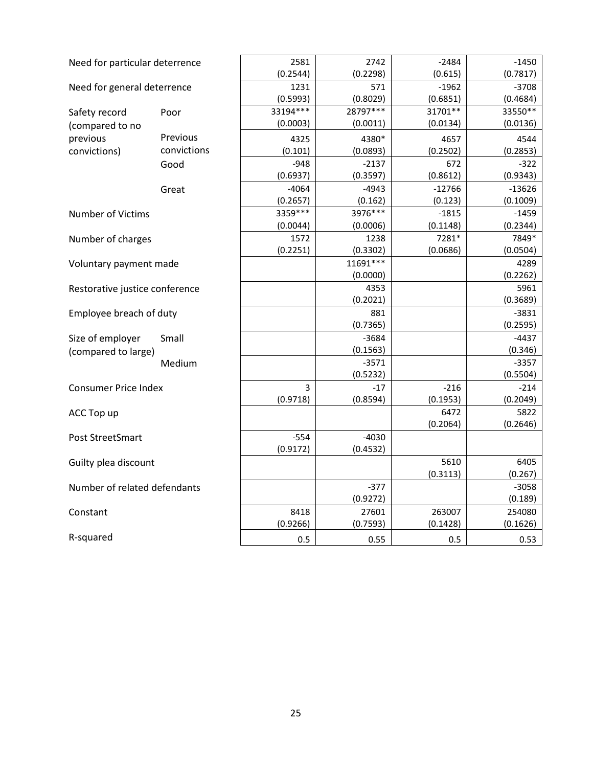| 2581<br>2742<br>$-2484$<br>Need for particular deterrence<br>$-1450$<br>(0.2298)<br>(0.7817)<br>(0.2544)<br>(0.615)<br>$-1962$<br>1231<br>571<br>$-3708$<br>Need for general deterrence<br>(0.5993)<br>(0.8029)<br>(0.6851)<br>(0.4684)<br>33194***<br>28797***<br>31701**<br>33550**<br>Safety record<br>Poor<br>(0.0003)<br>(0.0011)<br>(0.0134)<br>(0.0136)<br>(compared to no<br>Previous<br>previous<br>4380*<br>4325<br>4657<br>4544<br>convictions<br>convictions)<br>(0.101)<br>(0.0893)<br>(0.2502)<br>(0.2853)<br>$-948$<br>$-2137$<br>672<br>$-322$<br>Good<br>(0.9343)<br>(0.6937)<br>(0.3597)<br>(0.8612)<br>$-4064$<br>$-4943$<br>$-12766$<br>$-13626$<br>Great<br>(0.1009)<br>(0.2657)<br>(0.162)<br>(0.123)<br>3359 ***<br>3976 ***<br>$-1815$<br>$-1459$<br><b>Number of Victims</b><br>(0.0044)<br>(0.0006)<br>(0.1148)<br>(0.2344)<br>7281*<br>7849*<br>1572<br>1238<br>Number of charges<br>(0.2251)<br>(0.3302)<br>(0.0686)<br>(0.0504)<br>$11691***$<br>4289<br>Voluntary payment made<br>(0.0000)<br>(0.2262)<br>4353<br>5961<br>Restorative justice conference<br>(0.3689)<br>(0.2021)<br>881<br>$-3831$<br>Employee breach of duty<br>(0.7365)<br>(0.2595)<br>$-3684$<br>Size of employer<br>$-4437$<br>Small<br>(0.1563)<br>(0.346)<br>(compared to large)<br>$-3571$<br>$-3357$<br>Medium<br>(0.5232)<br>(0.5504)<br>3<br>$-17$<br>$-216$<br>$-214$<br><b>Consumer Price Index</b><br>(0.9718)<br>(0.8594)<br>(0.1953)<br>(0.2049)<br>6472<br>5822<br>ACC Top up<br>(0.2064)<br>(0.2646)<br>$-554$<br>$-4030$<br>Post StreetSmart<br>(0.9172)<br>(0.4532)<br>5610<br>6405<br>Guilty plea discount<br>(0.3113)<br>(0.267)<br>Number of related defendants<br>$-377$<br>$-3058$<br>(0.9272)<br>(0.189)<br>8418<br>263007<br>254080<br>27601<br>Constant<br>(0.9266)<br>(0.7593)<br>(0.1428)<br>(0.1626)<br>R-squared<br>0.5<br>0.55<br>0.5<br>0.53 |  |  |  |
|-----------------------------------------------------------------------------------------------------------------------------------------------------------------------------------------------------------------------------------------------------------------------------------------------------------------------------------------------------------------------------------------------------------------------------------------------------------------------------------------------------------------------------------------------------------------------------------------------------------------------------------------------------------------------------------------------------------------------------------------------------------------------------------------------------------------------------------------------------------------------------------------------------------------------------------------------------------------------------------------------------------------------------------------------------------------------------------------------------------------------------------------------------------------------------------------------------------------------------------------------------------------------------------------------------------------------------------------------------------------------------------------------------------------------------------------------------------------------------------------------------------------------------------------------------------------------------------------------------------------------------------------------------------------------------------------------------------------------------------------------------------------------------------------------------------------------------------------------------------------------------|--|--|--|
|                                                                                                                                                                                                                                                                                                                                                                                                                                                                                                                                                                                                                                                                                                                                                                                                                                                                                                                                                                                                                                                                                                                                                                                                                                                                                                                                                                                                                                                                                                                                                                                                                                                                                                                                                                                                                                                                             |  |  |  |
|                                                                                                                                                                                                                                                                                                                                                                                                                                                                                                                                                                                                                                                                                                                                                                                                                                                                                                                                                                                                                                                                                                                                                                                                                                                                                                                                                                                                                                                                                                                                                                                                                                                                                                                                                                                                                                                                             |  |  |  |
|                                                                                                                                                                                                                                                                                                                                                                                                                                                                                                                                                                                                                                                                                                                                                                                                                                                                                                                                                                                                                                                                                                                                                                                                                                                                                                                                                                                                                                                                                                                                                                                                                                                                                                                                                                                                                                                                             |  |  |  |
|                                                                                                                                                                                                                                                                                                                                                                                                                                                                                                                                                                                                                                                                                                                                                                                                                                                                                                                                                                                                                                                                                                                                                                                                                                                                                                                                                                                                                                                                                                                                                                                                                                                                                                                                                                                                                                                                             |  |  |  |
|                                                                                                                                                                                                                                                                                                                                                                                                                                                                                                                                                                                                                                                                                                                                                                                                                                                                                                                                                                                                                                                                                                                                                                                                                                                                                                                                                                                                                                                                                                                                                                                                                                                                                                                                                                                                                                                                             |  |  |  |
|                                                                                                                                                                                                                                                                                                                                                                                                                                                                                                                                                                                                                                                                                                                                                                                                                                                                                                                                                                                                                                                                                                                                                                                                                                                                                                                                                                                                                                                                                                                                                                                                                                                                                                                                                                                                                                                                             |  |  |  |
|                                                                                                                                                                                                                                                                                                                                                                                                                                                                                                                                                                                                                                                                                                                                                                                                                                                                                                                                                                                                                                                                                                                                                                                                                                                                                                                                                                                                                                                                                                                                                                                                                                                                                                                                                                                                                                                                             |  |  |  |
|                                                                                                                                                                                                                                                                                                                                                                                                                                                                                                                                                                                                                                                                                                                                                                                                                                                                                                                                                                                                                                                                                                                                                                                                                                                                                                                                                                                                                                                                                                                                                                                                                                                                                                                                                                                                                                                                             |  |  |  |
|                                                                                                                                                                                                                                                                                                                                                                                                                                                                                                                                                                                                                                                                                                                                                                                                                                                                                                                                                                                                                                                                                                                                                                                                                                                                                                                                                                                                                                                                                                                                                                                                                                                                                                                                                                                                                                                                             |  |  |  |
|                                                                                                                                                                                                                                                                                                                                                                                                                                                                                                                                                                                                                                                                                                                                                                                                                                                                                                                                                                                                                                                                                                                                                                                                                                                                                                                                                                                                                                                                                                                                                                                                                                                                                                                                                                                                                                                                             |  |  |  |
|                                                                                                                                                                                                                                                                                                                                                                                                                                                                                                                                                                                                                                                                                                                                                                                                                                                                                                                                                                                                                                                                                                                                                                                                                                                                                                                                                                                                                                                                                                                                                                                                                                                                                                                                                                                                                                                                             |  |  |  |
|                                                                                                                                                                                                                                                                                                                                                                                                                                                                                                                                                                                                                                                                                                                                                                                                                                                                                                                                                                                                                                                                                                                                                                                                                                                                                                                                                                                                                                                                                                                                                                                                                                                                                                                                                                                                                                                                             |  |  |  |
|                                                                                                                                                                                                                                                                                                                                                                                                                                                                                                                                                                                                                                                                                                                                                                                                                                                                                                                                                                                                                                                                                                                                                                                                                                                                                                                                                                                                                                                                                                                                                                                                                                                                                                                                                                                                                                                                             |  |  |  |
|                                                                                                                                                                                                                                                                                                                                                                                                                                                                                                                                                                                                                                                                                                                                                                                                                                                                                                                                                                                                                                                                                                                                                                                                                                                                                                                                                                                                                                                                                                                                                                                                                                                                                                                                                                                                                                                                             |  |  |  |
|                                                                                                                                                                                                                                                                                                                                                                                                                                                                                                                                                                                                                                                                                                                                                                                                                                                                                                                                                                                                                                                                                                                                                                                                                                                                                                                                                                                                                                                                                                                                                                                                                                                                                                                                                                                                                                                                             |  |  |  |
|                                                                                                                                                                                                                                                                                                                                                                                                                                                                                                                                                                                                                                                                                                                                                                                                                                                                                                                                                                                                                                                                                                                                                                                                                                                                                                                                                                                                                                                                                                                                                                                                                                                                                                                                                                                                                                                                             |  |  |  |
|                                                                                                                                                                                                                                                                                                                                                                                                                                                                                                                                                                                                                                                                                                                                                                                                                                                                                                                                                                                                                                                                                                                                                                                                                                                                                                                                                                                                                                                                                                                                                                                                                                                                                                                                                                                                                                                                             |  |  |  |
|                                                                                                                                                                                                                                                                                                                                                                                                                                                                                                                                                                                                                                                                                                                                                                                                                                                                                                                                                                                                                                                                                                                                                                                                                                                                                                                                                                                                                                                                                                                                                                                                                                                                                                                                                                                                                                                                             |  |  |  |
|                                                                                                                                                                                                                                                                                                                                                                                                                                                                                                                                                                                                                                                                                                                                                                                                                                                                                                                                                                                                                                                                                                                                                                                                                                                                                                                                                                                                                                                                                                                                                                                                                                                                                                                                                                                                                                                                             |  |  |  |
|                                                                                                                                                                                                                                                                                                                                                                                                                                                                                                                                                                                                                                                                                                                                                                                                                                                                                                                                                                                                                                                                                                                                                                                                                                                                                                                                                                                                                                                                                                                                                                                                                                                                                                                                                                                                                                                                             |  |  |  |
|                                                                                                                                                                                                                                                                                                                                                                                                                                                                                                                                                                                                                                                                                                                                                                                                                                                                                                                                                                                                                                                                                                                                                                                                                                                                                                                                                                                                                                                                                                                                                                                                                                                                                                                                                                                                                                                                             |  |  |  |
|                                                                                                                                                                                                                                                                                                                                                                                                                                                                                                                                                                                                                                                                                                                                                                                                                                                                                                                                                                                                                                                                                                                                                                                                                                                                                                                                                                                                                                                                                                                                                                                                                                                                                                                                                                                                                                                                             |  |  |  |
|                                                                                                                                                                                                                                                                                                                                                                                                                                                                                                                                                                                                                                                                                                                                                                                                                                                                                                                                                                                                                                                                                                                                                                                                                                                                                                                                                                                                                                                                                                                                                                                                                                                                                                                                                                                                                                                                             |  |  |  |
|                                                                                                                                                                                                                                                                                                                                                                                                                                                                                                                                                                                                                                                                                                                                                                                                                                                                                                                                                                                                                                                                                                                                                                                                                                                                                                                                                                                                                                                                                                                                                                                                                                                                                                                                                                                                                                                                             |  |  |  |
|                                                                                                                                                                                                                                                                                                                                                                                                                                                                                                                                                                                                                                                                                                                                                                                                                                                                                                                                                                                                                                                                                                                                                                                                                                                                                                                                                                                                                                                                                                                                                                                                                                                                                                                                                                                                                                                                             |  |  |  |
|                                                                                                                                                                                                                                                                                                                                                                                                                                                                                                                                                                                                                                                                                                                                                                                                                                                                                                                                                                                                                                                                                                                                                                                                                                                                                                                                                                                                                                                                                                                                                                                                                                                                                                                                                                                                                                                                             |  |  |  |
|                                                                                                                                                                                                                                                                                                                                                                                                                                                                                                                                                                                                                                                                                                                                                                                                                                                                                                                                                                                                                                                                                                                                                                                                                                                                                                                                                                                                                                                                                                                                                                                                                                                                                                                                                                                                                                                                             |  |  |  |
|                                                                                                                                                                                                                                                                                                                                                                                                                                                                                                                                                                                                                                                                                                                                                                                                                                                                                                                                                                                                                                                                                                                                                                                                                                                                                                                                                                                                                                                                                                                                                                                                                                                                                                                                                                                                                                                                             |  |  |  |
|                                                                                                                                                                                                                                                                                                                                                                                                                                                                                                                                                                                                                                                                                                                                                                                                                                                                                                                                                                                                                                                                                                                                                                                                                                                                                                                                                                                                                                                                                                                                                                                                                                                                                                                                                                                                                                                                             |  |  |  |
|                                                                                                                                                                                                                                                                                                                                                                                                                                                                                                                                                                                                                                                                                                                                                                                                                                                                                                                                                                                                                                                                                                                                                                                                                                                                                                                                                                                                                                                                                                                                                                                                                                                                                                                                                                                                                                                                             |  |  |  |
|                                                                                                                                                                                                                                                                                                                                                                                                                                                                                                                                                                                                                                                                                                                                                                                                                                                                                                                                                                                                                                                                                                                                                                                                                                                                                                                                                                                                                                                                                                                                                                                                                                                                                                                                                                                                                                                                             |  |  |  |
|                                                                                                                                                                                                                                                                                                                                                                                                                                                                                                                                                                                                                                                                                                                                                                                                                                                                                                                                                                                                                                                                                                                                                                                                                                                                                                                                                                                                                                                                                                                                                                                                                                                                                                                                                                                                                                                                             |  |  |  |
|                                                                                                                                                                                                                                                                                                                                                                                                                                                                                                                                                                                                                                                                                                                                                                                                                                                                                                                                                                                                                                                                                                                                                                                                                                                                                                                                                                                                                                                                                                                                                                                                                                                                                                                                                                                                                                                                             |  |  |  |
|                                                                                                                                                                                                                                                                                                                                                                                                                                                                                                                                                                                                                                                                                                                                                                                                                                                                                                                                                                                                                                                                                                                                                                                                                                                                                                                                                                                                                                                                                                                                                                                                                                                                                                                                                                                                                                                                             |  |  |  |
|                                                                                                                                                                                                                                                                                                                                                                                                                                                                                                                                                                                                                                                                                                                                                                                                                                                                                                                                                                                                                                                                                                                                                                                                                                                                                                                                                                                                                                                                                                                                                                                                                                                                                                                                                                                                                                                                             |  |  |  |
|                                                                                                                                                                                                                                                                                                                                                                                                                                                                                                                                                                                                                                                                                                                                                                                                                                                                                                                                                                                                                                                                                                                                                                                                                                                                                                                                                                                                                                                                                                                                                                                                                                                                                                                                                                                                                                                                             |  |  |  |
|                                                                                                                                                                                                                                                                                                                                                                                                                                                                                                                                                                                                                                                                                                                                                                                                                                                                                                                                                                                                                                                                                                                                                                                                                                                                                                                                                                                                                                                                                                                                                                                                                                                                                                                                                                                                                                                                             |  |  |  |
|                                                                                                                                                                                                                                                                                                                                                                                                                                                                                                                                                                                                                                                                                                                                                                                                                                                                                                                                                                                                                                                                                                                                                                                                                                                                                                                                                                                                                                                                                                                                                                                                                                                                                                                                                                                                                                                                             |  |  |  |
|                                                                                                                                                                                                                                                                                                                                                                                                                                                                                                                                                                                                                                                                                                                                                                                                                                                                                                                                                                                                                                                                                                                                                                                                                                                                                                                                                                                                                                                                                                                                                                                                                                                                                                                                                                                                                                                                             |  |  |  |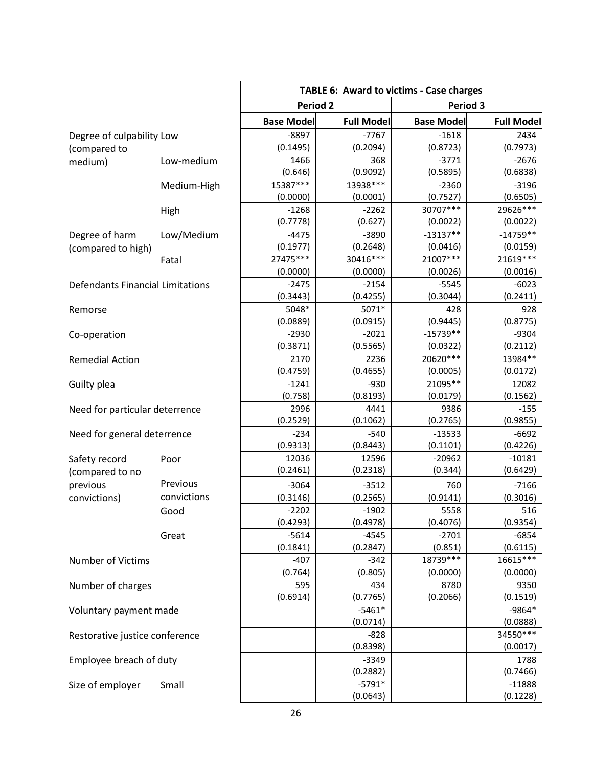| <b>Period 2</b><br>Period 3<br><b>Base Model</b><br><b>Full Model</b><br><b>Base Model</b><br><b>Full Model</b><br>$-8897$<br>$-7767$<br>$-1618$<br>2434<br>Degree of culpability Low<br>(0.1495)<br>(0.2094)<br>(0.7973)<br>(0.8723)<br>(compared to<br>1466<br>368<br>$-3771$<br>$-2676$<br>Low-medium<br>medium)<br>(0.646)<br>(0.9092)<br>(0.5895)<br>(0.6838)<br>15387***<br>13938 ***<br>$-2360$<br>$-3196$<br>Medium-High<br>(0.0000)<br>(0.0001)<br>(0.7527)<br>(0.6505)<br>29626 ***<br>30707***<br>$-1268$<br>$-2262$<br>High<br>(0.7778)<br>(0.627)<br>(0.0022)<br>(0.0022)<br>$-14759**$<br>$-13137**$<br>$-4475$<br>$-3890$<br>Degree of harm<br>Low/Medium<br>(0.1977)<br>(0.2648)<br>(0.0416)<br>(0.0159)<br>(compared to high)<br>21007***<br>21619 ***<br>27475 ***<br>30416***<br>Fatal<br>(0.0016)<br>(0.0000)<br>(0.0000)<br>(0.0026)<br>$-6023$<br><b>Defendants Financial Limitations</b><br>$-2475$<br>$-2154$<br>$-5545$<br>(0.3443)<br>(0.4255)<br>(0.3044)<br>(0.2411)<br>5048*<br>5071*<br>428<br>928<br>Remorse<br>(0.9445)<br>(0.8775)<br>(0.0889)<br>(0.0915)<br>$-15739**$<br>$-2930$<br>$-2021$<br>$-9304$<br>Co-operation<br>(0.3871)<br>(0.5565)<br>(0.2112)<br>(0.0322)<br>20620 ***<br>13984**<br>2170<br>2236<br><b>Remedial Action</b><br>(0.4655)<br>(0.4759)<br>(0.0005)<br>(0.0172)<br>21095**<br>$-1241$<br>$-930$<br>12082<br>Guilty plea<br>(0.8193)<br>(0.758)<br>(0.0179)<br>(0.1562)<br>2996<br>4441<br>9386<br>$-155$<br>Need for particular deterrence<br>(0.2529)<br>(0.1062)<br>(0.9855)<br>(0.2765)<br>$-234$<br>$-540$<br>$-13533$<br>$-6692$<br>Need for general deterrence<br>(0.9313)<br>(0.1101)<br>(0.4226)<br>(0.8443)<br>12596<br>$-10181$<br>12036<br>$-20962$<br>Safety record<br>Poor<br>(0.2461)<br>(0.2318)<br>(0.344)<br>(0.6429)<br>(compared to no<br>Previous<br>previous<br>$-3064$<br>$-3512$<br>760<br>$-7166$<br>convictions<br>convictions)<br>(0.3146)<br>(0.2565)<br>(0.9141)<br>(0.3016)<br>$-2202$<br>$-1902$<br>5558<br>516<br>Good<br>(0.4293)<br>(0.4978)<br>(0.9354)<br>(0.4076)<br>$-5614$<br>$-4545$<br>$-2701$<br>$-6854$<br>Great<br>(0.1841)<br>(0.2847)<br>(0.851)<br>(0.6115)<br>18739 ***<br>16615***<br>$-407$<br>$-342$<br><b>Number of Victims</b><br>(0.764)<br>(0.805)<br>(0.0000)<br>(0.0000)<br>8780<br>9350<br>595<br>434<br>Number of charges<br>(0.6914)<br>(0.7765)<br>(0.2066)<br>(0.1519)<br>$-5461*$<br>$-9864*$<br>Voluntary payment made<br>(0.0714)<br>(0.0888)<br>34550***<br>$-828$<br>Restorative justice conference<br>(0.8398)<br>(0.0017)<br>$-3349$<br>1788<br>Employee breach of duty<br>(0.2882)<br>(0.7466)<br>$-5791*$<br>$-11888$<br>Size of employer<br>Small<br>(0.0643)<br>(0.1228) |  | <b>TABLE 6: Award to victims - Case charges</b> |  |  |  |  |
|---------------------------------------------------------------------------------------------------------------------------------------------------------------------------------------------------------------------------------------------------------------------------------------------------------------------------------------------------------------------------------------------------------------------------------------------------------------------------------------------------------------------------------------------------------------------------------------------------------------------------------------------------------------------------------------------------------------------------------------------------------------------------------------------------------------------------------------------------------------------------------------------------------------------------------------------------------------------------------------------------------------------------------------------------------------------------------------------------------------------------------------------------------------------------------------------------------------------------------------------------------------------------------------------------------------------------------------------------------------------------------------------------------------------------------------------------------------------------------------------------------------------------------------------------------------------------------------------------------------------------------------------------------------------------------------------------------------------------------------------------------------------------------------------------------------------------------------------------------------------------------------------------------------------------------------------------------------------------------------------------------------------------------------------------------------------------------------------------------------------------------------------------------------------------------------------------------------------------------------------------------------------------------------------------------------------------------------------------------------------------------------------------------------------------------------------------------------------------------------------------------------------------------------------------------------------------------------------------------------------------------------------------------------------------------------------------------------|--|-------------------------------------------------|--|--|--|--|
|                                                                                                                                                                                                                                                                                                                                                                                                                                                                                                                                                                                                                                                                                                                                                                                                                                                                                                                                                                                                                                                                                                                                                                                                                                                                                                                                                                                                                                                                                                                                                                                                                                                                                                                                                                                                                                                                                                                                                                                                                                                                                                                                                                                                                                                                                                                                                                                                                                                                                                                                                                                                                                                                                                               |  |                                                 |  |  |  |  |
|                                                                                                                                                                                                                                                                                                                                                                                                                                                                                                                                                                                                                                                                                                                                                                                                                                                                                                                                                                                                                                                                                                                                                                                                                                                                                                                                                                                                                                                                                                                                                                                                                                                                                                                                                                                                                                                                                                                                                                                                                                                                                                                                                                                                                                                                                                                                                                                                                                                                                                                                                                                                                                                                                                               |  |                                                 |  |  |  |  |
|                                                                                                                                                                                                                                                                                                                                                                                                                                                                                                                                                                                                                                                                                                                                                                                                                                                                                                                                                                                                                                                                                                                                                                                                                                                                                                                                                                                                                                                                                                                                                                                                                                                                                                                                                                                                                                                                                                                                                                                                                                                                                                                                                                                                                                                                                                                                                                                                                                                                                                                                                                                                                                                                                                               |  |                                                 |  |  |  |  |
|                                                                                                                                                                                                                                                                                                                                                                                                                                                                                                                                                                                                                                                                                                                                                                                                                                                                                                                                                                                                                                                                                                                                                                                                                                                                                                                                                                                                                                                                                                                                                                                                                                                                                                                                                                                                                                                                                                                                                                                                                                                                                                                                                                                                                                                                                                                                                                                                                                                                                                                                                                                                                                                                                                               |  |                                                 |  |  |  |  |
|                                                                                                                                                                                                                                                                                                                                                                                                                                                                                                                                                                                                                                                                                                                                                                                                                                                                                                                                                                                                                                                                                                                                                                                                                                                                                                                                                                                                                                                                                                                                                                                                                                                                                                                                                                                                                                                                                                                                                                                                                                                                                                                                                                                                                                                                                                                                                                                                                                                                                                                                                                                                                                                                                                               |  |                                                 |  |  |  |  |
|                                                                                                                                                                                                                                                                                                                                                                                                                                                                                                                                                                                                                                                                                                                                                                                                                                                                                                                                                                                                                                                                                                                                                                                                                                                                                                                                                                                                                                                                                                                                                                                                                                                                                                                                                                                                                                                                                                                                                                                                                                                                                                                                                                                                                                                                                                                                                                                                                                                                                                                                                                                                                                                                                                               |  |                                                 |  |  |  |  |
|                                                                                                                                                                                                                                                                                                                                                                                                                                                                                                                                                                                                                                                                                                                                                                                                                                                                                                                                                                                                                                                                                                                                                                                                                                                                                                                                                                                                                                                                                                                                                                                                                                                                                                                                                                                                                                                                                                                                                                                                                                                                                                                                                                                                                                                                                                                                                                                                                                                                                                                                                                                                                                                                                                               |  |                                                 |  |  |  |  |
|                                                                                                                                                                                                                                                                                                                                                                                                                                                                                                                                                                                                                                                                                                                                                                                                                                                                                                                                                                                                                                                                                                                                                                                                                                                                                                                                                                                                                                                                                                                                                                                                                                                                                                                                                                                                                                                                                                                                                                                                                                                                                                                                                                                                                                                                                                                                                                                                                                                                                                                                                                                                                                                                                                               |  |                                                 |  |  |  |  |
|                                                                                                                                                                                                                                                                                                                                                                                                                                                                                                                                                                                                                                                                                                                                                                                                                                                                                                                                                                                                                                                                                                                                                                                                                                                                                                                                                                                                                                                                                                                                                                                                                                                                                                                                                                                                                                                                                                                                                                                                                                                                                                                                                                                                                                                                                                                                                                                                                                                                                                                                                                                                                                                                                                               |  |                                                 |  |  |  |  |
|                                                                                                                                                                                                                                                                                                                                                                                                                                                                                                                                                                                                                                                                                                                                                                                                                                                                                                                                                                                                                                                                                                                                                                                                                                                                                                                                                                                                                                                                                                                                                                                                                                                                                                                                                                                                                                                                                                                                                                                                                                                                                                                                                                                                                                                                                                                                                                                                                                                                                                                                                                                                                                                                                                               |  |                                                 |  |  |  |  |
|                                                                                                                                                                                                                                                                                                                                                                                                                                                                                                                                                                                                                                                                                                                                                                                                                                                                                                                                                                                                                                                                                                                                                                                                                                                                                                                                                                                                                                                                                                                                                                                                                                                                                                                                                                                                                                                                                                                                                                                                                                                                                                                                                                                                                                                                                                                                                                                                                                                                                                                                                                                                                                                                                                               |  |                                                 |  |  |  |  |
|                                                                                                                                                                                                                                                                                                                                                                                                                                                                                                                                                                                                                                                                                                                                                                                                                                                                                                                                                                                                                                                                                                                                                                                                                                                                                                                                                                                                                                                                                                                                                                                                                                                                                                                                                                                                                                                                                                                                                                                                                                                                                                                                                                                                                                                                                                                                                                                                                                                                                                                                                                                                                                                                                                               |  |                                                 |  |  |  |  |
|                                                                                                                                                                                                                                                                                                                                                                                                                                                                                                                                                                                                                                                                                                                                                                                                                                                                                                                                                                                                                                                                                                                                                                                                                                                                                                                                                                                                                                                                                                                                                                                                                                                                                                                                                                                                                                                                                                                                                                                                                                                                                                                                                                                                                                                                                                                                                                                                                                                                                                                                                                                                                                                                                                               |  |                                                 |  |  |  |  |
|                                                                                                                                                                                                                                                                                                                                                                                                                                                                                                                                                                                                                                                                                                                                                                                                                                                                                                                                                                                                                                                                                                                                                                                                                                                                                                                                                                                                                                                                                                                                                                                                                                                                                                                                                                                                                                                                                                                                                                                                                                                                                                                                                                                                                                                                                                                                                                                                                                                                                                                                                                                                                                                                                                               |  |                                                 |  |  |  |  |
|                                                                                                                                                                                                                                                                                                                                                                                                                                                                                                                                                                                                                                                                                                                                                                                                                                                                                                                                                                                                                                                                                                                                                                                                                                                                                                                                                                                                                                                                                                                                                                                                                                                                                                                                                                                                                                                                                                                                                                                                                                                                                                                                                                                                                                                                                                                                                                                                                                                                                                                                                                                                                                                                                                               |  |                                                 |  |  |  |  |
|                                                                                                                                                                                                                                                                                                                                                                                                                                                                                                                                                                                                                                                                                                                                                                                                                                                                                                                                                                                                                                                                                                                                                                                                                                                                                                                                                                                                                                                                                                                                                                                                                                                                                                                                                                                                                                                                                                                                                                                                                                                                                                                                                                                                                                                                                                                                                                                                                                                                                                                                                                                                                                                                                                               |  |                                                 |  |  |  |  |
|                                                                                                                                                                                                                                                                                                                                                                                                                                                                                                                                                                                                                                                                                                                                                                                                                                                                                                                                                                                                                                                                                                                                                                                                                                                                                                                                                                                                                                                                                                                                                                                                                                                                                                                                                                                                                                                                                                                                                                                                                                                                                                                                                                                                                                                                                                                                                                                                                                                                                                                                                                                                                                                                                                               |  |                                                 |  |  |  |  |
|                                                                                                                                                                                                                                                                                                                                                                                                                                                                                                                                                                                                                                                                                                                                                                                                                                                                                                                                                                                                                                                                                                                                                                                                                                                                                                                                                                                                                                                                                                                                                                                                                                                                                                                                                                                                                                                                                                                                                                                                                                                                                                                                                                                                                                                                                                                                                                                                                                                                                                                                                                                                                                                                                                               |  |                                                 |  |  |  |  |
|                                                                                                                                                                                                                                                                                                                                                                                                                                                                                                                                                                                                                                                                                                                                                                                                                                                                                                                                                                                                                                                                                                                                                                                                                                                                                                                                                                                                                                                                                                                                                                                                                                                                                                                                                                                                                                                                                                                                                                                                                                                                                                                                                                                                                                                                                                                                                                                                                                                                                                                                                                                                                                                                                                               |  |                                                 |  |  |  |  |
|                                                                                                                                                                                                                                                                                                                                                                                                                                                                                                                                                                                                                                                                                                                                                                                                                                                                                                                                                                                                                                                                                                                                                                                                                                                                                                                                                                                                                                                                                                                                                                                                                                                                                                                                                                                                                                                                                                                                                                                                                                                                                                                                                                                                                                                                                                                                                                                                                                                                                                                                                                                                                                                                                                               |  |                                                 |  |  |  |  |
|                                                                                                                                                                                                                                                                                                                                                                                                                                                                                                                                                                                                                                                                                                                                                                                                                                                                                                                                                                                                                                                                                                                                                                                                                                                                                                                                                                                                                                                                                                                                                                                                                                                                                                                                                                                                                                                                                                                                                                                                                                                                                                                                                                                                                                                                                                                                                                                                                                                                                                                                                                                                                                                                                                               |  |                                                 |  |  |  |  |
|                                                                                                                                                                                                                                                                                                                                                                                                                                                                                                                                                                                                                                                                                                                                                                                                                                                                                                                                                                                                                                                                                                                                                                                                                                                                                                                                                                                                                                                                                                                                                                                                                                                                                                                                                                                                                                                                                                                                                                                                                                                                                                                                                                                                                                                                                                                                                                                                                                                                                                                                                                                                                                                                                                               |  |                                                 |  |  |  |  |
|                                                                                                                                                                                                                                                                                                                                                                                                                                                                                                                                                                                                                                                                                                                                                                                                                                                                                                                                                                                                                                                                                                                                                                                                                                                                                                                                                                                                                                                                                                                                                                                                                                                                                                                                                                                                                                                                                                                                                                                                                                                                                                                                                                                                                                                                                                                                                                                                                                                                                                                                                                                                                                                                                                               |  |                                                 |  |  |  |  |
|                                                                                                                                                                                                                                                                                                                                                                                                                                                                                                                                                                                                                                                                                                                                                                                                                                                                                                                                                                                                                                                                                                                                                                                                                                                                                                                                                                                                                                                                                                                                                                                                                                                                                                                                                                                                                                                                                                                                                                                                                                                                                                                                                                                                                                                                                                                                                                                                                                                                                                                                                                                                                                                                                                               |  |                                                 |  |  |  |  |
|                                                                                                                                                                                                                                                                                                                                                                                                                                                                                                                                                                                                                                                                                                                                                                                                                                                                                                                                                                                                                                                                                                                                                                                                                                                                                                                                                                                                                                                                                                                                                                                                                                                                                                                                                                                                                                                                                                                                                                                                                                                                                                                                                                                                                                                                                                                                                                                                                                                                                                                                                                                                                                                                                                               |  |                                                 |  |  |  |  |
|                                                                                                                                                                                                                                                                                                                                                                                                                                                                                                                                                                                                                                                                                                                                                                                                                                                                                                                                                                                                                                                                                                                                                                                                                                                                                                                                                                                                                                                                                                                                                                                                                                                                                                                                                                                                                                                                                                                                                                                                                                                                                                                                                                                                                                                                                                                                                                                                                                                                                                                                                                                                                                                                                                               |  |                                                 |  |  |  |  |
|                                                                                                                                                                                                                                                                                                                                                                                                                                                                                                                                                                                                                                                                                                                                                                                                                                                                                                                                                                                                                                                                                                                                                                                                                                                                                                                                                                                                                                                                                                                                                                                                                                                                                                                                                                                                                                                                                                                                                                                                                                                                                                                                                                                                                                                                                                                                                                                                                                                                                                                                                                                                                                                                                                               |  |                                                 |  |  |  |  |
|                                                                                                                                                                                                                                                                                                                                                                                                                                                                                                                                                                                                                                                                                                                                                                                                                                                                                                                                                                                                                                                                                                                                                                                                                                                                                                                                                                                                                                                                                                                                                                                                                                                                                                                                                                                                                                                                                                                                                                                                                                                                                                                                                                                                                                                                                                                                                                                                                                                                                                                                                                                                                                                                                                               |  |                                                 |  |  |  |  |
|                                                                                                                                                                                                                                                                                                                                                                                                                                                                                                                                                                                                                                                                                                                                                                                                                                                                                                                                                                                                                                                                                                                                                                                                                                                                                                                                                                                                                                                                                                                                                                                                                                                                                                                                                                                                                                                                                                                                                                                                                                                                                                                                                                                                                                                                                                                                                                                                                                                                                                                                                                                                                                                                                                               |  |                                                 |  |  |  |  |
|                                                                                                                                                                                                                                                                                                                                                                                                                                                                                                                                                                                                                                                                                                                                                                                                                                                                                                                                                                                                                                                                                                                                                                                                                                                                                                                                                                                                                                                                                                                                                                                                                                                                                                                                                                                                                                                                                                                                                                                                                                                                                                                                                                                                                                                                                                                                                                                                                                                                                                                                                                                                                                                                                                               |  |                                                 |  |  |  |  |
|                                                                                                                                                                                                                                                                                                                                                                                                                                                                                                                                                                                                                                                                                                                                                                                                                                                                                                                                                                                                                                                                                                                                                                                                                                                                                                                                                                                                                                                                                                                                                                                                                                                                                                                                                                                                                                                                                                                                                                                                                                                                                                                                                                                                                                                                                                                                                                                                                                                                                                                                                                                                                                                                                                               |  |                                                 |  |  |  |  |
|                                                                                                                                                                                                                                                                                                                                                                                                                                                                                                                                                                                                                                                                                                                                                                                                                                                                                                                                                                                                                                                                                                                                                                                                                                                                                                                                                                                                                                                                                                                                                                                                                                                                                                                                                                                                                                                                                                                                                                                                                                                                                                                                                                                                                                                                                                                                                                                                                                                                                                                                                                                                                                                                                                               |  |                                                 |  |  |  |  |
|                                                                                                                                                                                                                                                                                                                                                                                                                                                                                                                                                                                                                                                                                                                                                                                                                                                                                                                                                                                                                                                                                                                                                                                                                                                                                                                                                                                                                                                                                                                                                                                                                                                                                                                                                                                                                                                                                                                                                                                                                                                                                                                                                                                                                                                                                                                                                                                                                                                                                                                                                                                                                                                                                                               |  |                                                 |  |  |  |  |
|                                                                                                                                                                                                                                                                                                                                                                                                                                                                                                                                                                                                                                                                                                                                                                                                                                                                                                                                                                                                                                                                                                                                                                                                                                                                                                                                                                                                                                                                                                                                                                                                                                                                                                                                                                                                                                                                                                                                                                                                                                                                                                                                                                                                                                                                                                                                                                                                                                                                                                                                                                                                                                                                                                               |  |                                                 |  |  |  |  |
|                                                                                                                                                                                                                                                                                                                                                                                                                                                                                                                                                                                                                                                                                                                                                                                                                                                                                                                                                                                                                                                                                                                                                                                                                                                                                                                                                                                                                                                                                                                                                                                                                                                                                                                                                                                                                                                                                                                                                                                                                                                                                                                                                                                                                                                                                                                                                                                                                                                                                                                                                                                                                                                                                                               |  |                                                 |  |  |  |  |
|                                                                                                                                                                                                                                                                                                                                                                                                                                                                                                                                                                                                                                                                                                                                                                                                                                                                                                                                                                                                                                                                                                                                                                                                                                                                                                                                                                                                                                                                                                                                                                                                                                                                                                                                                                                                                                                                                                                                                                                                                                                                                                                                                                                                                                                                                                                                                                                                                                                                                                                                                                                                                                                                                                               |  |                                                 |  |  |  |  |
|                                                                                                                                                                                                                                                                                                                                                                                                                                                                                                                                                                                                                                                                                                                                                                                                                                                                                                                                                                                                                                                                                                                                                                                                                                                                                                                                                                                                                                                                                                                                                                                                                                                                                                                                                                                                                                                                                                                                                                                                                                                                                                                                                                                                                                                                                                                                                                                                                                                                                                                                                                                                                                                                                                               |  |                                                 |  |  |  |  |
|                                                                                                                                                                                                                                                                                                                                                                                                                                                                                                                                                                                                                                                                                                                                                                                                                                                                                                                                                                                                                                                                                                                                                                                                                                                                                                                                                                                                                                                                                                                                                                                                                                                                                                                                                                                                                                                                                                                                                                                                                                                                                                                                                                                                                                                                                                                                                                                                                                                                                                                                                                                                                                                                                                               |  |                                                 |  |  |  |  |
|                                                                                                                                                                                                                                                                                                                                                                                                                                                                                                                                                                                                                                                                                                                                                                                                                                                                                                                                                                                                                                                                                                                                                                                                                                                                                                                                                                                                                                                                                                                                                                                                                                                                                                                                                                                                                                                                                                                                                                                                                                                                                                                                                                                                                                                                                                                                                                                                                                                                                                                                                                                                                                                                                                               |  |                                                 |  |  |  |  |
|                                                                                                                                                                                                                                                                                                                                                                                                                                                                                                                                                                                                                                                                                                                                                                                                                                                                                                                                                                                                                                                                                                                                                                                                                                                                                                                                                                                                                                                                                                                                                                                                                                                                                                                                                                                                                                                                                                                                                                                                                                                                                                                                                                                                                                                                                                                                                                                                                                                                                                                                                                                                                                                                                                               |  |                                                 |  |  |  |  |
|                                                                                                                                                                                                                                                                                                                                                                                                                                                                                                                                                                                                                                                                                                                                                                                                                                                                                                                                                                                                                                                                                                                                                                                                                                                                                                                                                                                                                                                                                                                                                                                                                                                                                                                                                                                                                                                                                                                                                                                                                                                                                                                                                                                                                                                                                                                                                                                                                                                                                                                                                                                                                                                                                                               |  |                                                 |  |  |  |  |
|                                                                                                                                                                                                                                                                                                                                                                                                                                                                                                                                                                                                                                                                                                                                                                                                                                                                                                                                                                                                                                                                                                                                                                                                                                                                                                                                                                                                                                                                                                                                                                                                                                                                                                                                                                                                                                                                                                                                                                                                                                                                                                                                                                                                                                                                                                                                                                                                                                                                                                                                                                                                                                                                                                               |  |                                                 |  |  |  |  |
|                                                                                                                                                                                                                                                                                                                                                                                                                                                                                                                                                                                                                                                                                                                                                                                                                                                                                                                                                                                                                                                                                                                                                                                                                                                                                                                                                                                                                                                                                                                                                                                                                                                                                                                                                                                                                                                                                                                                                                                                                                                                                                                                                                                                                                                                                                                                                                                                                                                                                                                                                                                                                                                                                                               |  |                                                 |  |  |  |  |
|                                                                                                                                                                                                                                                                                                                                                                                                                                                                                                                                                                                                                                                                                                                                                                                                                                                                                                                                                                                                                                                                                                                                                                                                                                                                                                                                                                                                                                                                                                                                                                                                                                                                                                                                                                                                                                                                                                                                                                                                                                                                                                                                                                                                                                                                                                                                                                                                                                                                                                                                                                                                                                                                                                               |  |                                                 |  |  |  |  |
|                                                                                                                                                                                                                                                                                                                                                                                                                                                                                                                                                                                                                                                                                                                                                                                                                                                                                                                                                                                                                                                                                                                                                                                                                                                                                                                                                                                                                                                                                                                                                                                                                                                                                                                                                                                                                                                                                                                                                                                                                                                                                                                                                                                                                                                                                                                                                                                                                                                                                                                                                                                                                                                                                                               |  |                                                 |  |  |  |  |
|                                                                                                                                                                                                                                                                                                                                                                                                                                                                                                                                                                                                                                                                                                                                                                                                                                                                                                                                                                                                                                                                                                                                                                                                                                                                                                                                                                                                                                                                                                                                                                                                                                                                                                                                                                                                                                                                                                                                                                                                                                                                                                                                                                                                                                                                                                                                                                                                                                                                                                                                                                                                                                                                                                               |  |                                                 |  |  |  |  |
|                                                                                                                                                                                                                                                                                                                                                                                                                                                                                                                                                                                                                                                                                                                                                                                                                                                                                                                                                                                                                                                                                                                                                                                                                                                                                                                                                                                                                                                                                                                                                                                                                                                                                                                                                                                                                                                                                                                                                                                                                                                                                                                                                                                                                                                                                                                                                                                                                                                                                                                                                                                                                                                                                                               |  |                                                 |  |  |  |  |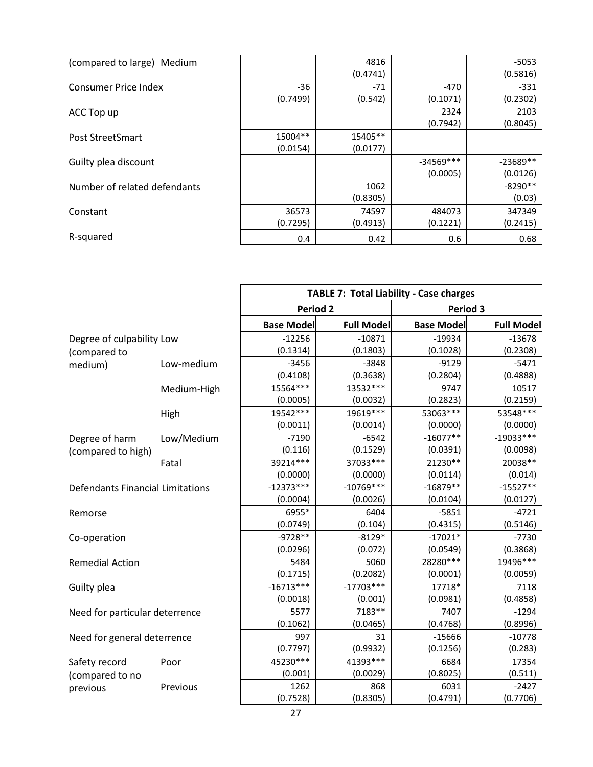| (compared to large) Medium   |          | 4816     |             | $-5053$    |
|------------------------------|----------|----------|-------------|------------|
|                              |          | (0.4741) |             | (0.5816)   |
| Consumer Price Index         | $-36$    | $-71$    | -470        | $-331$     |
|                              | (0.7499) | (0.542)  | (0.1071)    | (0.2302)   |
| ACC Top up                   |          |          | 2324        | 2103       |
|                              |          |          | (0.7942)    | (0.8045)   |
| Post StreetSmart             | 15004**  | 15405**  |             |            |
|                              | (0.0154) | (0.0177) |             |            |
| Guilty plea discount         |          |          | $-34569***$ | $-23689**$ |
|                              |          |          | (0.0005)    | (0.0126)   |
| Number of related defendants |          | 1062     |             | $-8290**$  |
|                              |          | (0.8305) |             | (0.03)     |
| Constant                     | 36573    | 74597    | 484073      | 347349     |
|                              | (0.7295) | (0.4913) | (0.1221)    | (0.2415)   |
| R-squared                    | 0.4      | 0.42     | 0.6         | 0.68       |

|                                         |             | <b>TABLE 7: Total Liability - Case charges</b> |                   |                   |                   |  |
|-----------------------------------------|-------------|------------------------------------------------|-------------------|-------------------|-------------------|--|
|                                         |             | <b>Period 2</b>                                |                   | Period 3          |                   |  |
|                                         |             | <b>Base Model</b>                              | <b>Full Model</b> | <b>Base Model</b> | <b>Full Model</b> |  |
| Degree of culpability Low               |             | $-12256$                                       | $-10871$          | $-19934$          | $-13678$          |  |
| (compared to                            |             | (0.1314)                                       | (0.1803)          | (0.1028)          | (0.2308)          |  |
| medium)                                 | Low-medium  | $-3456$                                        | $-3848$           | $-9129$           | $-5471$           |  |
|                                         |             | (0.4108)                                       | (0.3638)          | (0.2804)          | (0.4888)          |  |
|                                         | Medium-High | 15564 ***                                      | 13532 ***         | 9747              | 10517             |  |
|                                         |             | (0.0005)                                       | (0.0032)          | (0.2823)          | (0.2159)          |  |
|                                         | High        | 19542 ***                                      | 19619 ***         | 53063 ***         | 53548***          |  |
|                                         |             | (0.0011)                                       | (0.0014)          | (0.0000)          | (0.0000)          |  |
| Degree of harm                          | Low/Medium  | $-7190$                                        | $-6542$           | $-16077**$        | $-19033***$       |  |
| (compared to high)                      |             | (0.116)                                        | (0.1529)          | (0.0391)          | (0.0098)          |  |
|                                         | Fatal       | 39214 ***                                      | 37033 ***         | 21230**           | 20038**           |  |
|                                         |             | (0.0000)                                       | (0.0000)          | (0.0114)          | (0.014)           |  |
| <b>Defendants Financial Limitations</b> |             | $-12373***$                                    | $-10769***$       | $-16879**$        | $-15527**$        |  |
|                                         |             | (0.0004)                                       | (0.0026)          | (0.0104)          | (0.0127)          |  |
| Remorse                                 |             | 6955*                                          | 6404              | $-5851$           | $-4721$           |  |
|                                         |             | (0.0749)                                       | (0.104)           | (0.4315)          | (0.5146)          |  |
| Co-operation                            |             | $-9728**$                                      | $-8129*$          | $-17021*$         | $-7730$           |  |
|                                         |             | (0.0296)                                       | (0.072)           | (0.0549)          | (0.3868)          |  |
| <b>Remedial Action</b>                  |             | 5484                                           | 5060              | 28280***          | 19496 ***         |  |
|                                         |             | (0.1715)                                       | (0.2082)          | (0.0001)          | (0.0059)          |  |
| Guilty plea                             |             | $-16713***$                                    | $-17703***$       | 17718*            | 7118              |  |
|                                         |             | (0.0018)                                       | (0.001)           | (0.0981)          | (0.4858)          |  |
| Need for particular deterrence          |             | 5577                                           | 7183**            | 7407              | $-1294$           |  |
|                                         |             | (0.1062)                                       | (0.0465)          | (0.4768)          | (0.8996)          |  |
| Need for general deterrence             |             | 997                                            | 31                | $-15666$          | $-10778$          |  |
|                                         |             | (0.7797)                                       | (0.9932)          | (0.1256)          | (0.283)           |  |
| Safety record                           | Poor        | 45230***                                       | 41393 ***         | 6684              | 17354             |  |
| (compared to no                         |             | (0.001)                                        | (0.0029)          | (0.8025)          | (0.511)           |  |
| previous                                | Previous    | 1262                                           | 868               | 6031              | $-2427$           |  |
|                                         |             | (0.7528)                                       | (0.8305)          | (0.4791)          | (0.7706)          |  |

ACC Top up

Constant